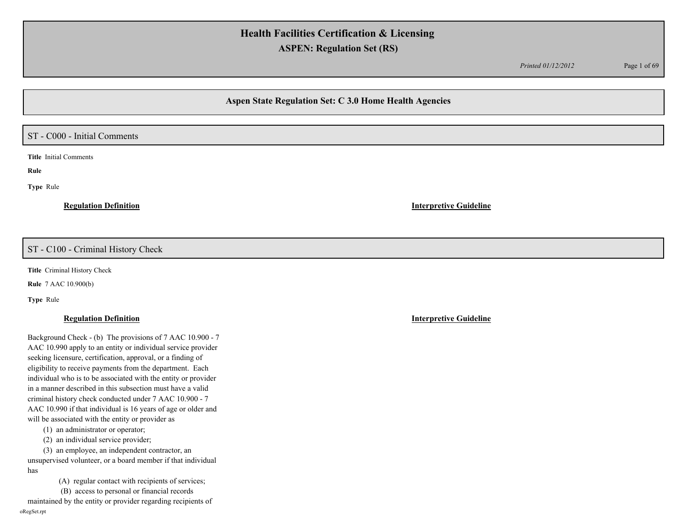*Printed 01/12/2012* Page 1 of 69

# **Aspen State Regulation Set: C 3.0 Home Health Agencies**

# ST - C000 - Initial Comments

**Title** Initial Comments

**Rule** 

**Type** Rule

**Regulation Definition Interpretive Guideline**

## ST - C100 - Criminal History Check

**Title** Criminal History Check

**Rule** 7 AAC 10.900(b)

**Type** Rule

## **Regulation Definition Interpretive Guideline**

Background Check - (b) The provisions of 7 AAC 10.900 - 7 AAC 10.990 apply to an entity or individual service provider seeking licensure, certification, approval, or a finding of eligibility to receive payments from the department. Each individual who is to be associated with the entity or provider in a manner described in this subsection must have a valid criminal history check conducted under 7 AAC 10.900 - 7 AAC 10.990 if that individual is 16 years of age or older and will be associated with the entity or provider as

(1) an administrator or operator;

(2) an individual service provider;

(3) an employee, an independent contractor, an unsupervised volunteer, or a board member if that individual has

(A) regular contact with recipients of services;

 (B) access to personal or financial records maintained by the entity or provider regarding recipients of oRegSet.rpt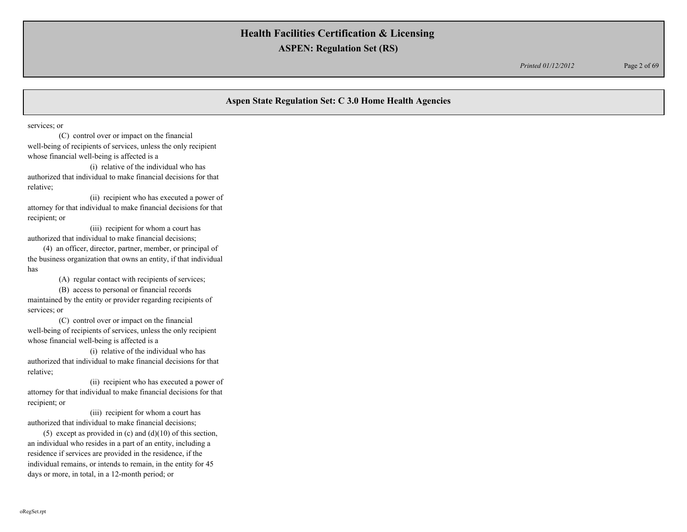*Printed 01/12/2012* Page 2 of 69

# **Aspen State Regulation Set: C 3.0 Home Health Agencies**

services; or

 (C) control over or impact on the financial well-being of recipients of services, unless the only recipient whose financial well-being is affected is a

 (i) relative of the individual who has authorized that individual to make financial decisions for that relative;

 (ii) recipient who has executed a power of attorney for that individual to make financial decisions for that recipient; or

 (iii) recipient for whom a court has authorized that individual to make financial decisions;

(4) an officer, director, partner, member, or principal of the business organization that owns an entity, if that individual has

(A) regular contact with recipients of services;

 (B) access to personal or financial records maintained by the entity or provider regarding recipients of services; or

 (C) control over or impact on the financial well-being of recipients of services, unless the only recipient whose financial well-being is affected is a

 (i) relative of the individual who has authorized that individual to make financial decisions for that relative;

 (ii) recipient who has executed a power of attorney for that individual to make financial decisions for that recipient; or

 (iii) recipient for whom a court has authorized that individual to make financial decisions;

(5) except as provided in  $(c)$  and  $(d)(10)$  of this section, an individual who resides in a part of an entity, including a residence if services are provided in the residence, if the individual remains, or intends to remain, in the entity for 45 days or more, in total, in a 12-month period; or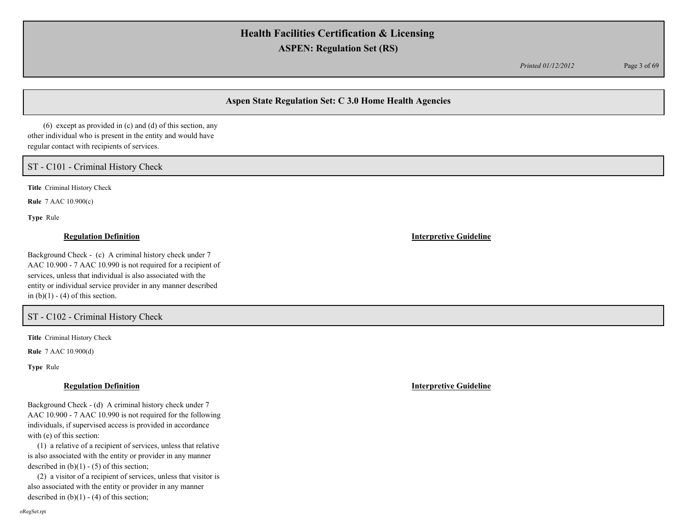*Printed 01/12/2012* Page 3 of 69

# **Aspen State Regulation Set: C 3.0 Home Health Agencies**

(6) except as provided in (c) and (d) of this section, any other individual who is present in the entity and would have regular contact with recipients of services.

## ST - C101 - Criminal History Check

**Title** Criminal History Check

**Rule** 7 AAC 10.900(c)

**Type** Rule

### **Regulation Definition Interpretive Guideline**

Background Check - (c) A criminal history check under 7 AAC 10.900 - 7 AAC 10.990 is not required for a recipient of services, unless that individual is also associated with the entity or individual service provider in any manner described in  $(b)(1) - (4)$  of this section.

## ST - C102 - Criminal History Check

**Title** Criminal History Check

**Rule** 7 AAC 10.900(d)

**Type** Rule

### **Regulation Definition Interpretive Guideline**

Background Check - (d) A criminal history check under 7 AAC 10.900 - 7 AAC 10.990 is not required for the following individuals, if supervised access is provided in accordance with (e) of this section:

 (1) a relative of a recipient of services, unless that relative is also associated with the entity or provider in any manner described in  $(b)(1) - (5)$  of this section;

 (2) a visitor of a recipient of services, unless that visitor is also associated with the entity or provider in any manner described in  $(b)(1) - (4)$  of this section;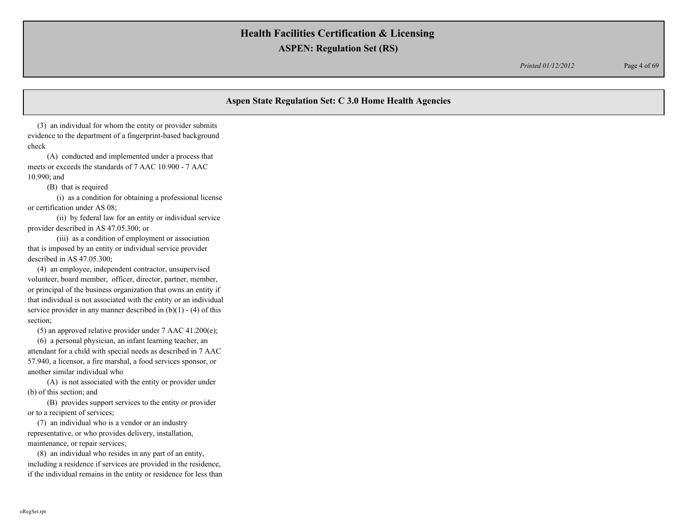*Printed 01/12/2012* Page 4 of 69

# **Aspen State Regulation Set: C 3.0 Home Health Agencies**

 (3) an individual for whom the entity or provider submits evidence to the department of a fingerprint-based background check

 (A) conducted and implemented under a process that meets or exceeds the standards of 7 AAC 10.900 - 7 AAC 10.990; and

(B) that is required

 (i) as a condition for obtaining a professional license or certification under AS 08;

 (ii) by federal law for an entity or individual service provider described in AS 47.05.300; or

 (iii) as a condition of employment or association that is imposed by an entity or individual service provider described in AS 47.05.300;

 (4) an employee, independent contractor, unsupervised volunteer, board member, officer, director, partner, member, or principal of the business organization that owns an entity if that individual is not associated with the entity or an individual service provider in any manner described in  $(b)(1) - (4)$  of this section;

(5) an approved relative provider under 7 AAC 41.200(e);

 (6) a personal physician, an infant learning teacher, an attendant for a child with special needs as described in 7 AAC 57.940, a licensor, a fire marshal, a food services sponsor, or another similar individual who

 (A) is not associated with the entity or provider under (b) of this section; and

 (B) provides support services to the entity or provider or to a recipient of services;

 (7) an individual who is a vendor or an industry representative, or who provides delivery, installation, maintenance, or repair services;

 (8) an individual who resides in any part of an entity, including a residence if services are provided in the residence, if the individual remains in the entity or residence for less than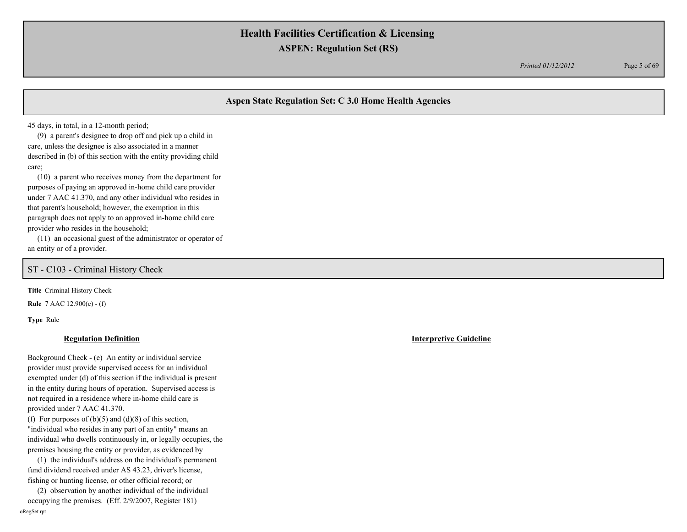*Printed 01/12/2012* Page 5 of 69

# **Aspen State Regulation Set: C 3.0 Home Health Agencies**

45 days, in total, in a 12-month period;

 (9) a parent's designee to drop off and pick up a child in care, unless the designee is also associated in a manner described in (b) of this section with the entity providing child care;

 (10) a parent who receives money from the department for purposes of paying an approved in-home child care provider under 7 AAC 41.370, and any other individual who resides in that parent's household; however, the exemption in this paragraph does not apply to an approved in-home child care provider who resides in the household;

 (11) an occasional guest of the administrator or operator of an entity or of a provider.

ST - C103 - Criminal History Check

**Title** Criminal History Check

**Rule** 7 AAC 12.900(e) - (f)

**Type** Rule

### **Regulation Definition Interpretive Guideline**

Background Check - (e) An entity or individual service provider must provide supervised access for an individual exempted under (d) of this section if the individual is present in the entity during hours of operation. Supervised access is not required in a residence where in-home child care is provided under 7 AAC 41.370.

(f) For purposes of  $(b)(5)$  and  $(d)(8)$  of this section, "individual who resides in any part of an entity" means an individual who dwells continuously in, or legally occupies, the premises housing the entity or provider, as evidenced by

 (1) the individual's address on the individual's permanent fund dividend received under AS 43.23, driver's license, fishing or hunting license, or other official record; or

 (2) observation by another individual of the individual occupying the premises. (Eff. 2/9/2007, Register 181) oRegSet.rpt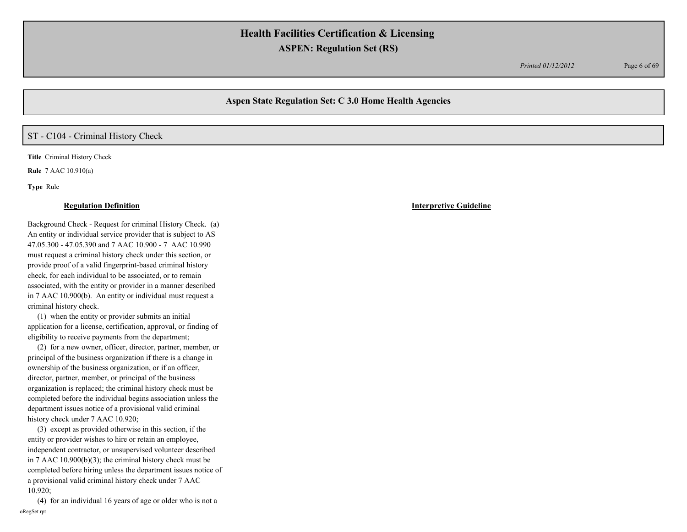*Printed 01/12/2012* Page 6 of 69

## **Aspen State Regulation Set: C 3.0 Home Health Agencies**

## ST - C104 - Criminal History Check

**Title** Criminal History Check

**Rule** 7 AAC 10.910(a)

**Type** Rule

### **Regulation Definition Interpretive Guideline**

Background Check - Request for criminal History Check. (a) An entity or individual service provider that is subject to AS 47.05.300 - 47.05.390 and 7 AAC 10.900 - 7 AAC 10.990 must request a criminal history check under this section, or provide proof of a valid fingerprint-based criminal history check, for each individual to be associated, or to remain associated, with the entity or provider in a manner described in 7 AAC 10.900(b). An entity or individual must request a criminal history check.

 (1) when the entity or provider submits an initial application for a license, certification, approval, or finding of eligibility to receive payments from the department;

 (2) for a new owner, officer, director, partner, member, or principal of the business organization if there is a change in ownership of the business organization, or if an officer, director, partner, member, or principal of the business organization is replaced; the criminal history check must be completed before the individual begins association unless the department issues notice of a provisional valid criminal history check under 7 AAC 10.920;

 (3) except as provided otherwise in this section, if the entity or provider wishes to hire or retain an employee, independent contractor, or unsupervised volunteer described in 7 AAC 10.900(b)(3); the criminal history check must be completed before hiring unless the department issues notice of a provisional valid criminal history check under 7 AAC 10.920;

 (4) for an individual 16 years of age or older who is not a oRegSet.rpt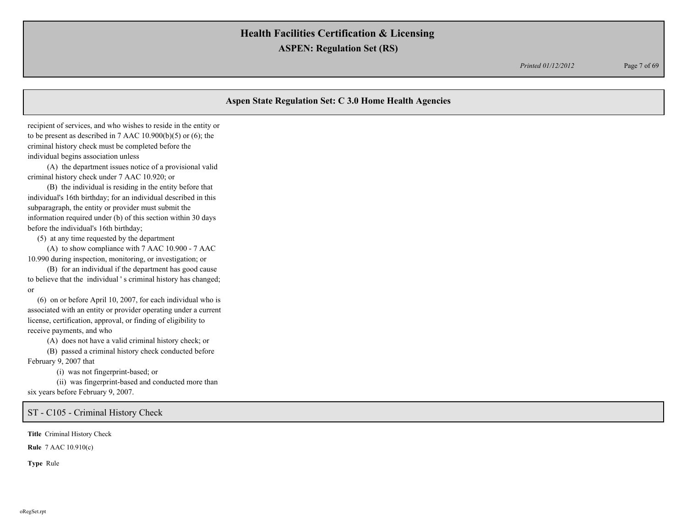*Printed 01/12/2012* Page 7 of 69

## **Aspen State Regulation Set: C 3.0 Home Health Agencies**

recipient of services, and who wishes to reside in the entity or to be present as described in 7 AAC 10.900(b)(5) or (6); the criminal history check must be completed before the individual begins association unless

 (A) the department issues notice of a provisional valid criminal history check under 7 AAC 10.920; or

 (B) the individual is residing in the entity before that individual's 16th birthday; for an individual described in this subparagraph, the entity or provider must submit the information required under (b) of this section within 30 days before the individual's 16th birthday;

(5) at any time requested by the department

 (A) to show compliance with 7 AAC 10.900 - 7 AAC 10.990 during inspection, monitoring, or investigation; or

 (B) for an individual if the department has good cause to believe that the individual ' s criminal history has changed; or

 (6) on or before April 10, 2007, for each individual who is associated with an entity or provider operating under a current license, certification, approval, or finding of eligibility to receive payments, and who

(A) does not have a valid criminal history check; or

(B) passed a criminal history check conducted before

February 9, 2007 that

(i) was not fingerprint-based; or

 (ii) was fingerprint-based and conducted more than six years before February 9, 2007.

ST - C105 - Criminal History Check

**Title** Criminal History Check

**Rule** 7 AAC 10.910(c)

**Type** Rule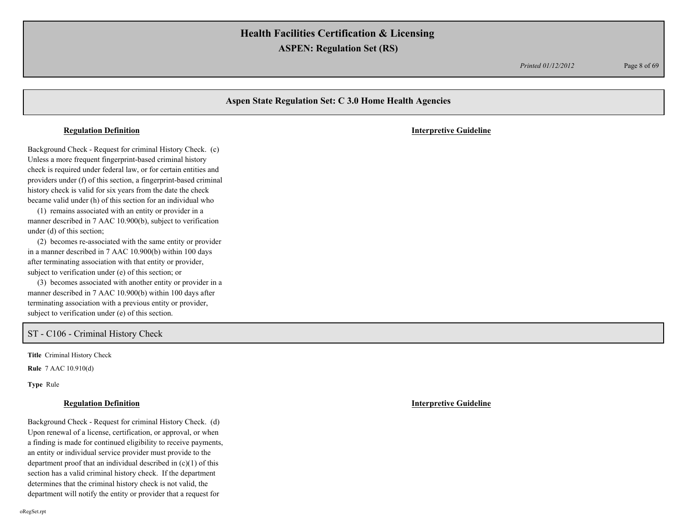*Printed 01/12/2012* Page 8 of 69

# **Aspen State Regulation Set: C 3.0 Home Health Agencies** Background Check - Request for criminal History Check. (c) Unless a more frequent fingerprint-based criminal history check is required under federal law, or for certain entities and providers under (f) of this section, a fingerprint-based criminal history check is valid for six years from the date the check became valid under (h) of this section for an individual who (1) remains associated with an entity or provider in a manner described in 7 AAC 10.900(b), subject to verification under (d) of this section; (2) becomes re-associated with the same entity or provider in a manner described in 7 AAC 10.900(b) within 100 days after terminating association with that entity or provider, subject to verification under (e) of this section; or (3) becomes associated with another entity or provider in a **Regulation Definition Interpretive Guideline**

manner described in 7 AAC 10.900(b) within 100 days after terminating association with a previous entity or provider, subject to verification under (e) of this section.

## ST - C106 - Criminal History Check

**Title** Criminal History Check

**Rule** 7 AAC 10.910(d)

**Type** Rule

### **Regulation Definition Interpretive Guideline**

Background Check - Request for criminal History Check. (d) Upon renewal of a license, certification, or approval, or when a finding is made for continued eligibility to receive payments, an entity or individual service provider must provide to the department proof that an individual described in  $(c)(1)$  of this section has a valid criminal history check. If the department determines that the criminal history check is not valid, the department will notify the entity or provider that a request for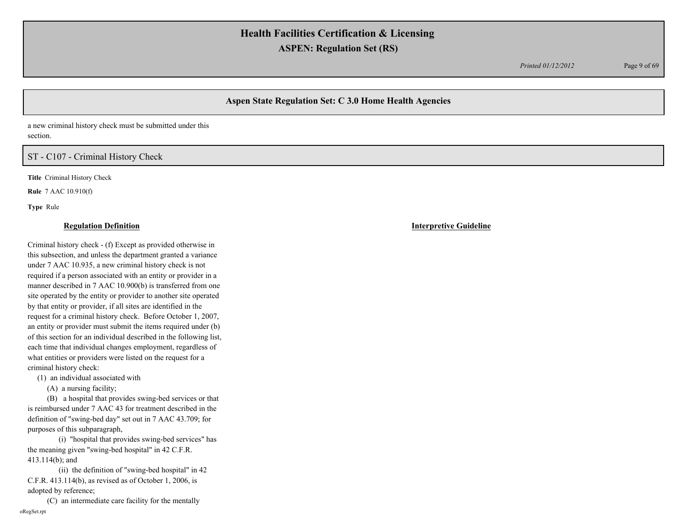*Printed 01/12/2012* Page 9 of 69

# **Aspen State Regulation Set: C 3.0 Home Health Agencies**

a new criminal history check must be submitted under this section.

# ST - C107 - Criminal History Check

**Title** Criminal History Check

**Rule** 7 AAC 10.910(f)

**Type** Rule

### **Regulation Definition Interpretive Guideline**

Criminal history check - (f) Except as provided otherwise in this subsection, and unless the department granted a variance under 7 AAC 10.935, a new criminal history check is not required if a person associated with an entity or provider in a manner described in 7 AAC 10.900(b) is transferred from one site operated by the entity or provider to another site operated by that entity or provider, if all sites are identified in the request for a criminal history check. Before October 1, 2007, an entity or provider must submit the items required under (b) of this section for an individual described in the following list, each time that individual changes employment, regardless of what entities or providers were listed on the request for a criminal history check:

(1) an individual associated with

(A) a nursing facility;

 (B) a hospital that provides swing-bed services or that is reimbursed under 7 AAC 43 for treatment described in the definition of "swing-bed day" set out in 7 AAC 43.709; for purposes of this subparagraph,

 (i) "hospital that provides swing-bed services" has the meaning given "swing-bed hospital" in 42 C.F.R. 413.114(b); and

 (ii) the definition of "swing-bed hospital" in 42 C.F.R. 413.114(b), as revised as of October 1, 2006, is adopted by reference;

 (C) an intermediate care facility for the mentally oRegSet.rpt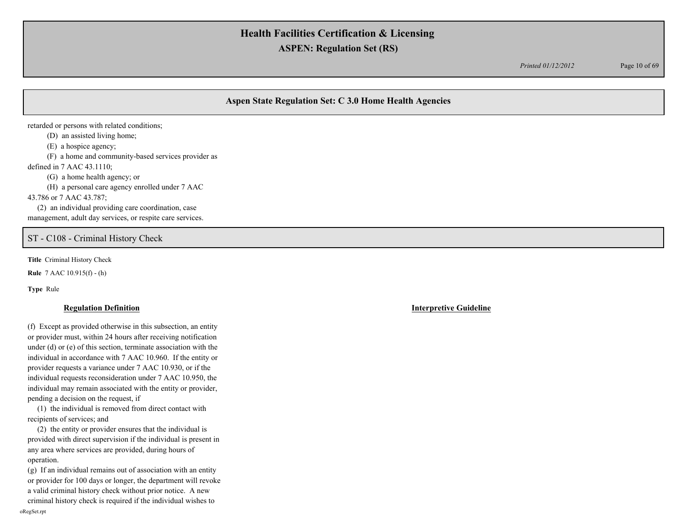*Printed 01/12/2012* Page 10 of 69

# **Aspen State Regulation Set: C 3.0 Home Health Agencies**

retarded or persons with related conditions;

(D) an assisted living home;

(E) a hospice agency;

(F) a home and community-based services provider as

defined in 7 AAC 43.1110;

(G) a home health agency; or

(H) a personal care agency enrolled under 7 AAC

43.786 or 7 AAC 43.787;

 (2) an individual providing care coordination, case management, adult day services, or respite care services.

## ST - C108 - Criminal History Check

**Title** Criminal History Check

**Rule** 7 AAC 10.915(f) - (h)

**Type** Rule

(f) Except as provided otherwise in this subsection, an entity or provider must, within 24 hours after receiving notification under (d) or (e) of this section, terminate association with the individual in accordance with 7 AAC 10.960. If the entity or provider requests a variance under 7 AAC 10.930, or if the individual requests reconsideration under 7 AAC 10.950, the individual may remain associated with the entity or provider, pending a decision on the request, if

 (1) the individual is removed from direct contact with recipients of services; and

 (2) the entity or provider ensures that the individual is provided with direct supervision if the individual is present in any area where services are provided, during hours of operation.

(g) If an individual remains out of association with an entity or provider for 100 days or longer, the department will revoke a valid criminal history check without prior notice. A new criminal history check is required if the individual wishes to oRegSet.rpt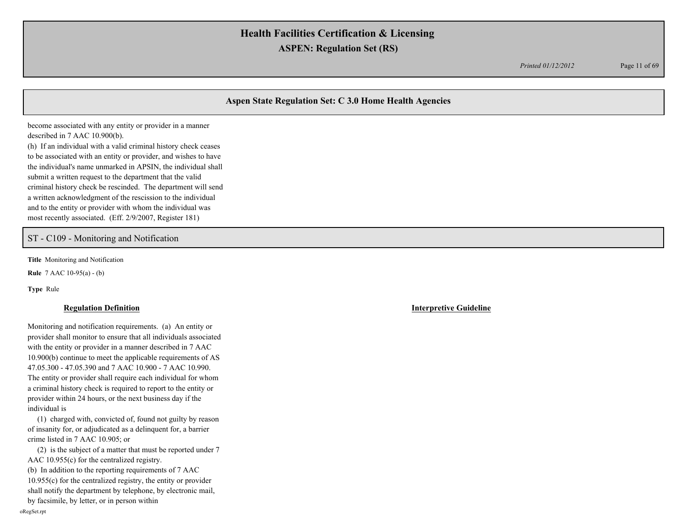*Printed 01/12/2012* Page 11 of 69

# **Aspen State Regulation Set: C 3.0 Home Health Agencies**

become associated with any entity or provider in a manner described in 7 AAC 10.900(b).

(h) If an individual with a valid criminal history check ceases to be associated with an entity or provider, and wishes to have the individual's name unmarked in APSIN, the individual shall submit a written request to the department that the valid criminal history check be rescinded. The department will send a written acknowledgment of the rescission to the individual and to the entity or provider with whom the individual was most recently associated. (Eff. 2/9/2007, Register 181)

## ST - C109 - Monitoring and Notification

**Title** Monitoring and Notification

**Rule** 7 AAC 10-95(a) - (b)

**Type** Rule

### **Regulation Definition Interpretive Guideline**

Monitoring and notification requirements. (a) An entity or provider shall monitor to ensure that all individuals associated with the entity or provider in a manner described in 7 AAC 10.900(b) continue to meet the applicable requirements of AS 47.05.300 - 47.05.390 and 7 AAC 10.900 - 7 AAC 10.990. The entity or provider shall require each individual for whom a criminal history check is required to report to the entity or provider within 24 hours, or the next business day if the individual is

 (1) charged with, convicted of, found not guilty by reason of insanity for, or adjudicated as a delinquent for, a barrier crime listed in 7 AAC 10.905; or

 (2) is the subject of a matter that must be reported under 7 AAC 10.955(c) for the centralized registry.

(b) In addition to the reporting requirements of 7 AAC 10.955(c) for the centralized registry, the entity or provider shall notify the department by telephone, by electronic mail, by facsimile, by letter, or in person within

oRegSet.rpt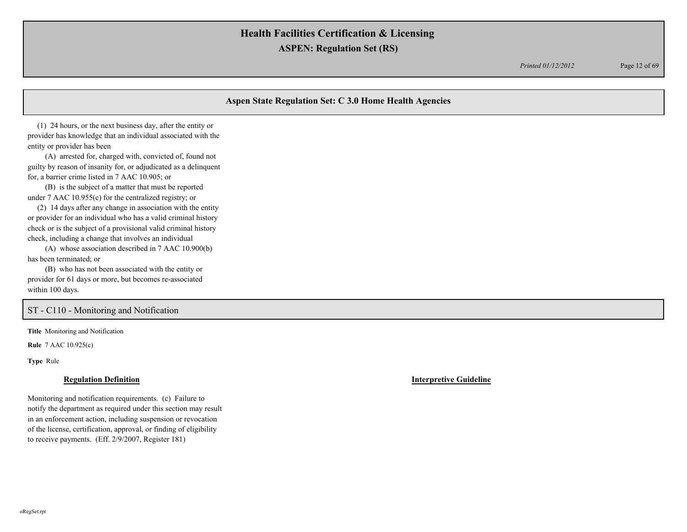*Printed 01/12/2012* Page 12 of 69

# **Aspen State Regulation Set: C 3.0 Home Health Agencies**

 (1) 24 hours, or the next business day, after the entity or provider has knowledge that an individual associated with the entity or provider has been

 (A) arrested for, charged with, convicted of, found not guilty by reason of insanity for, or adjudicated as a delinquent for, a barrier crime listed in 7 AAC 10.905; or

 (B) is the subject of a matter that must be reported under 7 AAC 10.955(c) for the centralized registry; or

 (2) 14 days after any change in association with the entity or provider for an individual who has a valid criminal history check or is the subject of a provisional valid criminal history check, including a change that involves an individual

 (A) whose association described in 7 AAC 10.900(b) has been terminated; or

 (B) who has not been associated with the entity or provider for 61 days or more, but becomes re-associated within 100 days.

## ST - C110 - Monitoring and Notification

**Title** Monitoring and Notification

**Rule** 7 AAC 10.925(c)

**Type** Rule

### **Regulation Definition Interpretive Guideline**

Monitoring and notification requirements. (c) Failure to notify the department as required under this section may result in an enforcement action, including suspension or revocation of the license, certification, approval, or finding of eligibility to receive payments. (Eff. 2/9/2007, Register 181)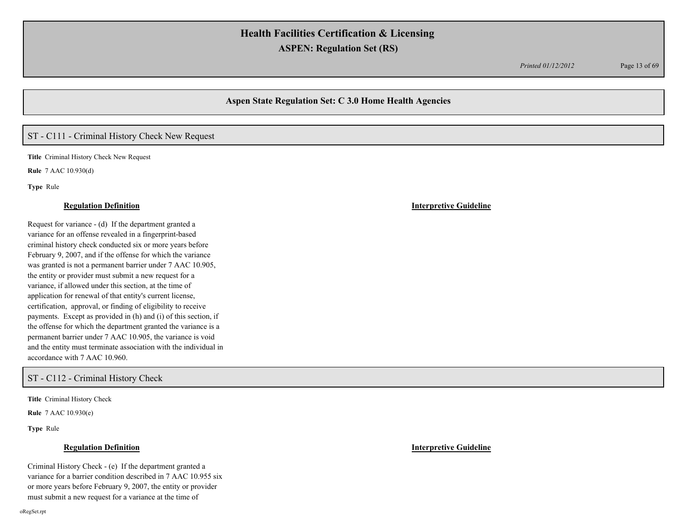*Printed 01/12/2012* Page 13 of 69

## **Aspen State Regulation Set: C 3.0 Home Health Agencies**

# ST - C111 - Criminal History Check New Request

**Title** Criminal History Check New Request **Rule** 7 AAC 10.930(d)

**Type** Rule

Request for variance - (d) If the department granted a variance for an offense revealed in a fingerprint-based criminal history check conducted six or more years before February 9, 2007, and if the offense for which the variance was granted is not a permanent barrier under 7 AAC 10.905, the entity or provider must submit a new request for a variance, if allowed under this section, at the time of application for renewal of that entity's current license, certification, approval, or finding of eligibility to receive payments. Except as provided in (h) and (i) of this section, if the offense for which the department granted the variance is a permanent barrier under 7 AAC 10.905, the variance is void and the entity must terminate association with the individual in accordance with 7 AAC 10.960.

ST - C112 - Criminal History Check

**Title** Criminal History Check

**Rule** 7 AAC 10.930(e)

**Type** Rule

oRegSet.rpt

### **Regulation Definition Interpretive Guideline**

Criminal History Check - (e) If the department granted a variance for a barrier condition described in 7 AAC 10.955 six or more years before February 9, 2007, the entity or provider must submit a new request for a variance at the time of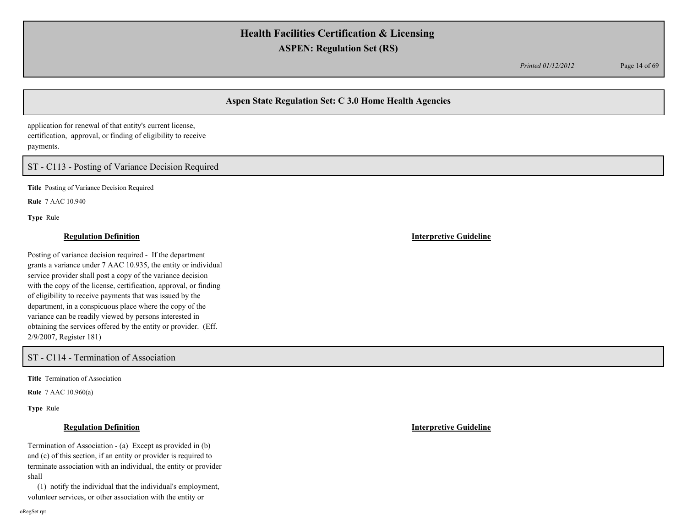*Printed 01/12/2012* Page 14 of 69

# **Aspen State Regulation Set: C 3.0 Home Health Agencies**

application for renewal of that entity's current license, certification, approval, or finding of eligibility to receive payments.

# ST - C113 - Posting of Variance Decision Required

**Title** Posting of Variance Decision Required

**Rule** 7 AAC 10.940

**Type** Rule

### **Regulation Definition Interpretive Guideline**

Posting of variance decision required - If the department grants a variance under 7 AAC 10.935, the entity or individual service provider shall post a copy of the variance decision with the copy of the license, certification, approval, or finding of eligibility to receive payments that was issued by the department, in a conspicuous place where the copy of the variance can be readily viewed by persons interested in obtaining the services offered by the entity or provider. (Eff. 2/9/2007, Register 181)

ST - C114 - Termination of Association

**Title** Termination of Association

**Rule** 7 AAC 10.960(a)

**Type** Rule

Termination of Association - (a) Except as provided in (b) and (c) of this section, if an entity or provider is required to terminate association with an individual, the entity or provider shall

 (1) notify the individual that the individual's employment, volunteer services, or other association with the entity or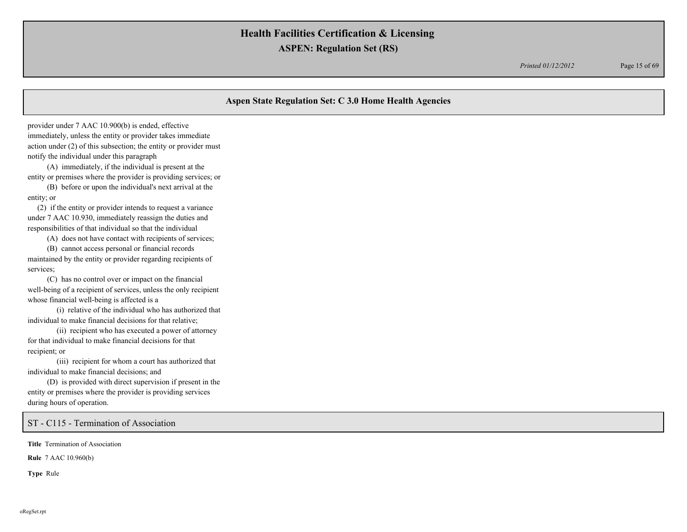*Printed 01/12/2012* Page 15 of 69

## **Aspen State Regulation Set: C 3.0 Home Health Agencies**

provider under 7 AAC 10.900(b) is ended, effective immediately, unless the entity or provider takes immediate action under (2) of this subsection; the entity or provider must notify the individual under this paragraph

 (A) immediately, if the individual is present at the entity or premises where the provider is providing services; or

 (B) before or upon the individual's next arrival at the entity; or

 (2) if the entity or provider intends to request a variance under 7 AAC 10.930, immediately reassign the duties and responsibilities of that individual so that the individual

(A) does not have contact with recipients of services;

 (B) cannot access personal or financial records maintained by the entity or provider regarding recipients of services;

 (C) has no control over or impact on the financial well-being of a recipient of services, unless the only recipient whose financial well-being is affected is a

 (i) relative of the individual who has authorized that individual to make financial decisions for that relative;

 (ii) recipient who has executed a power of attorney for that individual to make financial decisions for that recipient; or

 (iii) recipient for whom a court has authorized that individual to make financial decisions; and

 (D) is provided with direct supervision if present in the entity or premises where the provider is providing services during hours of operation.

ST - C115 - Termination of Association

**Title** Termination of Association

**Rule** 7 AAC 10.960(b)

**Type** Rule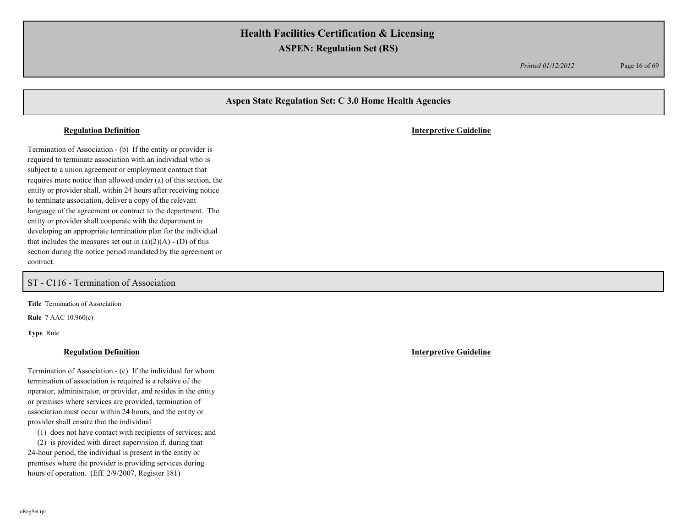*Printed 01/12/2012* Page 16 of 69

## **Aspen State Regulation Set: C 3.0 Home Health Agencies**

Termination of Association - (b) If the entity or provider is required to terminate association with an individual who is subject to a union agreement or employment contract that requires more notice than allowed under (a) of this section, the entity or provider shall, within 24 hours after receiving notice to terminate association, deliver a copy of the relevant language of the agreement or contract to the department. The entity or provider shall cooperate with the department in developing an appropriate termination plan for the individual that includes the measures set out in  $(a)(2)(A) - (D)$  of this section during the notice period mandated by the agreement or contract.

ST - C116 - Termination of Association

**Title** Termination of Association

**Rule** 7 AAC 10.960(c)

**Type** Rule

Termination of Association - (c) If the individual for whom termination of association is required is a relative of the operator, administrator, or provider, and resides in the entity or premises where services are provided, termination of association must occur within 24 hours, and the entity or provider shall ensure that the individual

(1) does not have contact with recipients of services; and

 (2) is provided with direct supervision if, during that 24-hour period, the individual is present in the entity or premises where the provider is providing services during hours of operation. (Eff. 2/9/2007, Register 181)

**Regulation Definition Interpretive Guideline**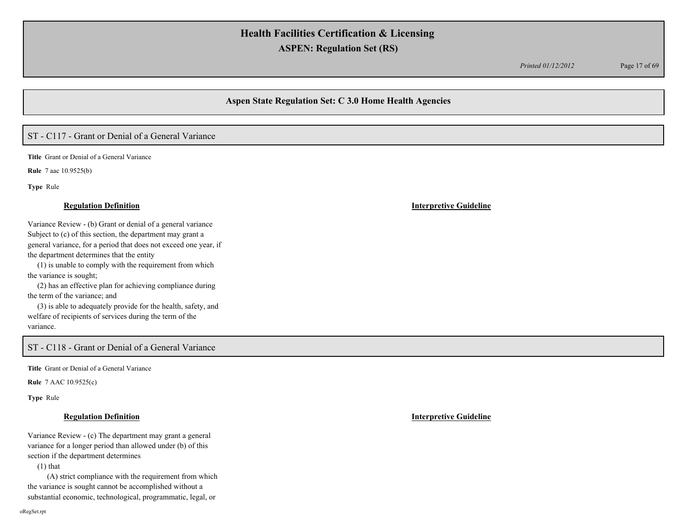*Printed 01/12/2012* Page 17 of 69

## **Aspen State Regulation Set: C 3.0 Home Health Agencies**

# ST - C117 - Grant or Denial of a General Variance

**Title** Grant or Denial of a General Variance

**Rule** 7 aac 10.9525(b)

**Type** Rule

Variance Review - (b) Grant or denial of a general variance Subject to (c) of this section, the department may grant a general variance, for a period that does not exceed one year, if the department determines that the entity

 (1) is unable to comply with the requirement from which the variance is sought;

 (2) has an effective plan for achieving compliance during the term of the variance; and

 (3) is able to adequately provide for the health, safety, and welfare of recipients of services during the term of the variance.

# ST - C118 - Grant or Denial of a General Variance

**Title** Grant or Denial of a General Variance

**Rule** 7 AAC 10.9525(c)

**Type** Rule

### **Regulation Definition Interpretive Guideline**

Variance Review - (c) The department may grant a general variance for a longer period than allowed under (b) of this section if the department determines

(1) that

 (A) strict compliance with the requirement from which the variance is sought cannot be accomplished without a substantial economic, technological, programmatic, legal, or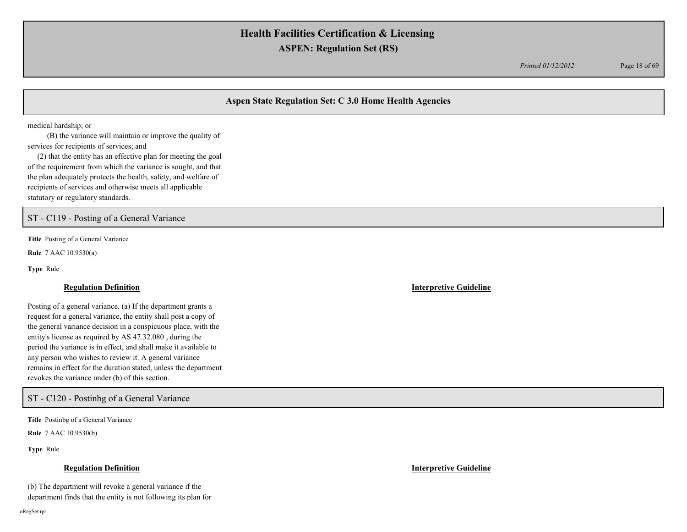*Printed 01/12/2012* Page 18 of 69

# **Aspen State Regulation Set: C 3.0 Home Health Agencies**

medical hardship; or

 (B) the variance will maintain or improve the quality of services for recipients of services; and

 (2) that the entity has an effective plan for meeting the goal of the requirement from which the variance is sought, and that the plan adequately protects the health, safety, and welfare of recipients of services and otherwise meets all applicable statutory or regulatory standards.

ST - C119 - Posting of a General Variance

**Title** Posting of a General Variance

**Rule** 7 AAC 10.9530(a)

**Type** Rule

### **Regulation Definition Interpretive Guideline**

Posting of a general variance. (a) If the department grants a request for a general variance, the entity shall post a copy of the general variance decision in a conspicuous place, with the entity's license as required by AS 47.32.080 , during the period the variance is in effect, and shall make it available to any person who wishes to review it. A general variance remains in effect for the duration stated, unless the department revokes the variance under (b) of this section.

ST - C120 - Postinbg of a General Variance

**Title** Postinbg of a General Variance

**Rule** 7 AAC 10.9530(b)

**Type** Rule

### **Regulation Definition Interpretive Guideline**

(b) The department will revoke a general variance if the department finds that the entity is not following its plan for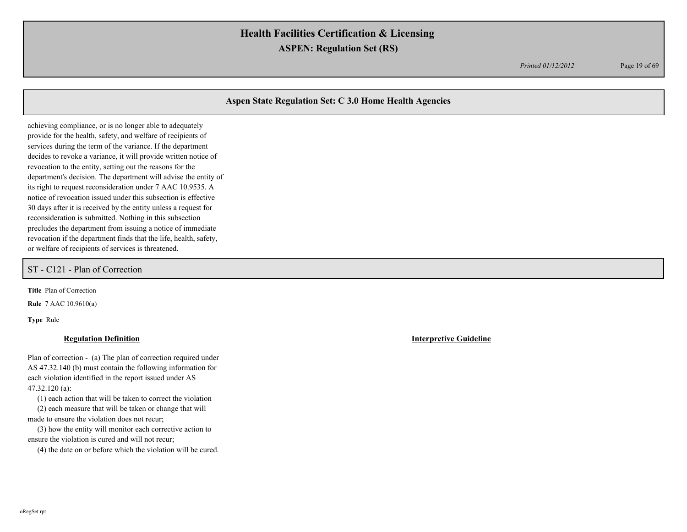*Printed 01/12/2012* Page 19 of 69

# **Aspen State Regulation Set: C 3.0 Home Health Agencies**

achieving compliance, or is no longer able to adequately provide for the health, safety, and welfare of recipients of services during the term of the variance. If the department decides to revoke a variance, it will provide written notice of revocation to the entity, setting out the reasons for the department's decision. The department will advise the entity of its right to request reconsideration under 7 AAC 10.9535. A notice of revocation issued under this subsection is effective 30 days after it is received by the entity unless a request for reconsideration is submitted. Nothing in this subsection precludes the department from issuing a notice of immediate revocation if the department finds that the life, health, safety, or welfare of recipients of services is threatened.

ST - C121 - Plan of Correction

**Title** Plan of Correction

**Rule** 7 AAC 10.9610(a)

**Type** Rule

Plan of correction - (a) The plan of correction required under AS 47.32.140 (b) must contain the following information for each violation identified in the report issued under AS 47.32.120 (a):

(1) each action that will be taken to correct the violation

 (2) each measure that will be taken or change that will made to ensure the violation does not recur;

 (3) how the entity will monitor each corrective action to ensure the violation is cured and will not recur;

(4) the date on or before which the violation will be cured.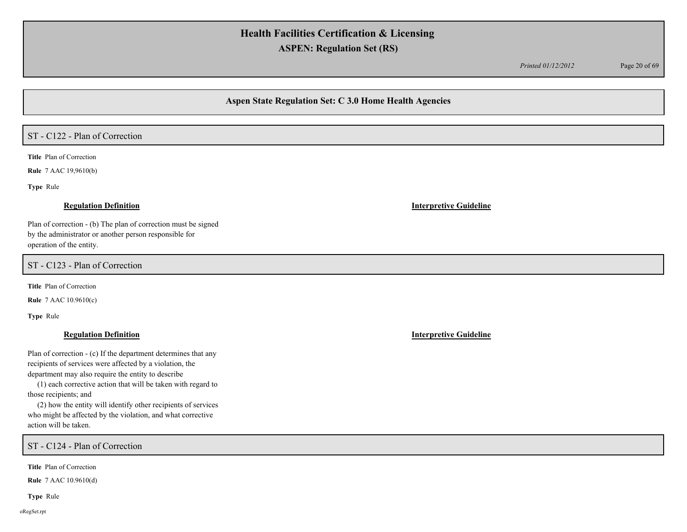*Printed 01/12/2012* Page 20 of 69

## **Aspen State Regulation Set: C 3.0 Home Health Agencies**

# ST - C122 - Plan of Correction

**Title** Plan of Correction

**Rule** 7 AAC 19,9610(b)

**Type** Rule

### **Regulation Definition Interpretive Guideline**

Plan of correction - (b) The plan of correction must be signed by the administrator or another person responsible for operation of the entity.

ST - C123 - Plan of Correction

**Title** Plan of Correction

**Rule** 7 AAC 10.9610(c)

**Type** Rule

Plan of correction - (c) If the department determines that any recipients of services were affected by a violation, the department may also require the entity to describe

 (1) each corrective action that will be taken with regard to those recipients; and

 (2) how the entity will identify other recipients of services who might be affected by the violation, and what corrective action will be taken.

ST - C124 - Plan of Correction

**Title** Plan of Correction

**Rule** 7 AAC 10.9610(d)

**Type** Rule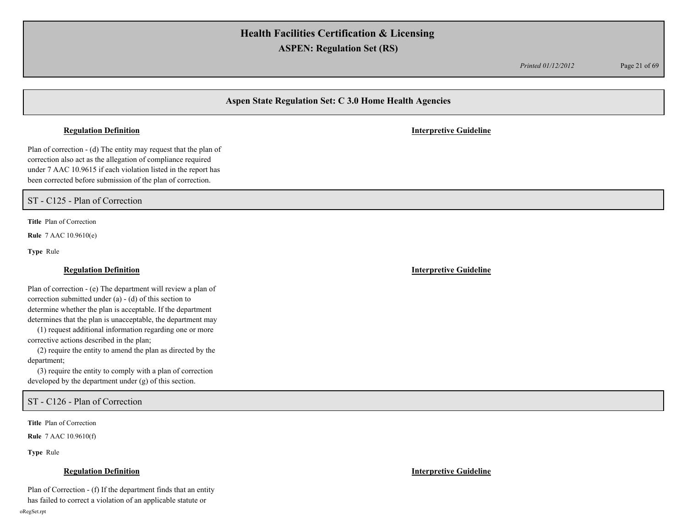*Printed 01/12/2012* Page 21 of 69

# **Aspen State Regulation Set: C 3.0 Home Health Agencies**

### **Regulation Definition Interpretive Guideline**

Plan of correction - (d) The entity may request that the plan of correction also act as the allegation of compliance required under 7 AAC 10.9615 if each violation listed in the report has been corrected before submission of the plan of correction.

ST - C125 - Plan of Correction

**Title** Plan of Correction

**Rule** 7 AAC 10.9610(e)

**Type** Rule

Plan of correction - (e) The department will review a plan of correction submitted under (a) - (d) of this section to determine whether the plan is acceptable. If the department determines that the plan is unacceptable, the department may

 (1) request additional information regarding one or more corrective actions described in the plan;

 (2) require the entity to amend the plan as directed by the department;

 (3) require the entity to comply with a plan of correction developed by the department under (g) of this section.

ST - C126 - Plan of Correction

**Title** Plan of Correction

**Rule** 7 AAC 10.9610(f)

**Type** Rule

Plan of Correction - (f) If the department finds that an entity has failed to correct a violation of an applicable statute or

oRegSet.rpt

**Regulation Definition Interpretive Guideline**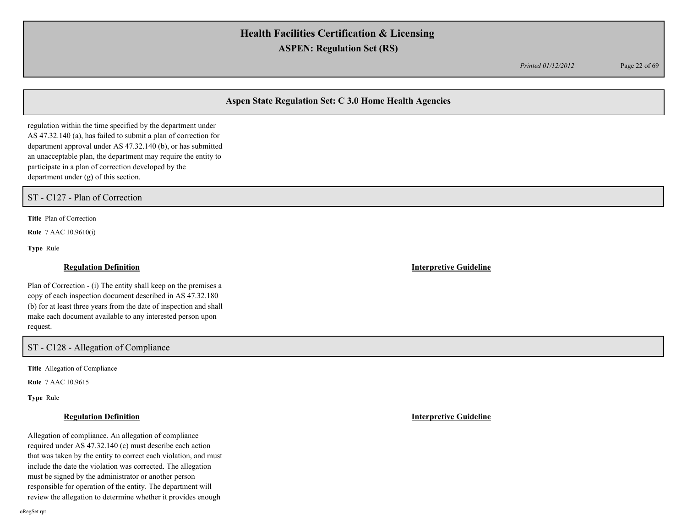*Printed 01/12/2012* Page 22 of 69

# **Aspen State Regulation Set: C 3.0 Home Health Agencies**

regulation within the time specified by the department under AS 47.32.140 (a), has failed to submit a plan of correction for department approval under AS 47.32.140 (b), or has submitted an unacceptable plan, the department may require the entity to participate in a plan of correction developed by the department under (g) of this section.

ST - C127 - Plan of Correction

**Title** Plan of Correction

**Rule** 7 AAC 10.9610(i)

**Type** Rule

### **Regulation Definition Interpretive Guideline**

Plan of Correction - (i) The entity shall keep on the premises a copy of each inspection document described in AS 47.32.180 (b) for at least three years from the date of inspection and shall make each document available to any interested person upon request.

## ST - C128 - Allegation of Compliance

**Title** Allegation of Compliance

**Rule** 7 AAC 10.9615

**Type** Rule

Allegation of compliance. An allegation of compliance required under AS 47.32.140 (c) must describe each action that was taken by the entity to correct each violation, and must include the date the violation was corrected. The allegation must be signed by the administrator or another person responsible for operation of the entity. The department will review the allegation to determine whether it provides enough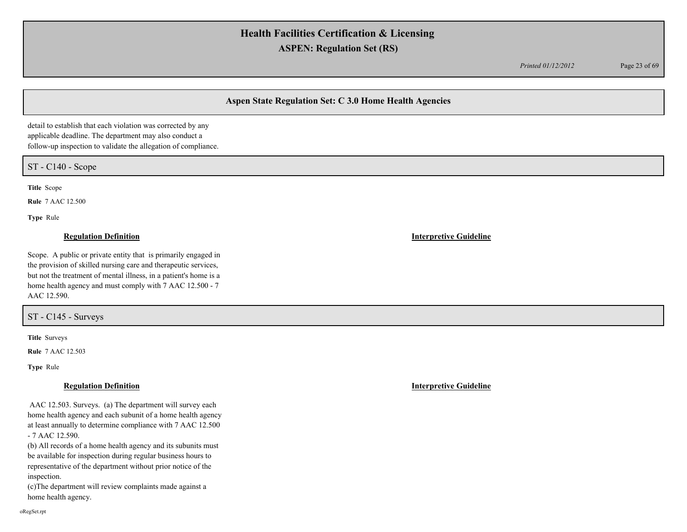*Printed 01/12/2012* Page 23 of 69

# **Aspen State Regulation Set: C 3.0 Home Health Agencies**

detail to establish that each violation was corrected by any applicable deadline. The department may also conduct a follow-up inspection to validate the allegation of compliance.

ST - C140 - Scope

**Title** Scope

**Rule** 7 AAC 12.500

**Type** Rule

### **Regulation Definition Interpretive Guideline**

Scope. A public or private entity that is primarily engaged in the provision of skilled nursing care and therapeutic services, but not the treatment of mental illness, in a patient's home is a home health agency and must comply with  $7$  AAC 12.500 -  $7$ AAC 12.590.

ST - C145 - Surveys

**Title** Surveys

**Rule** 7 AAC 12.503

**Type** Rule

 AAC 12.503. Surveys. (a) The department will survey each home health agency and each subunit of a home health agency at least annually to determine compliance with 7 AAC 12.500 - 7 AAC 12.590.

(b) All records of a home health agency and its subunits must be available for inspection during regular business hours to representative of the department without prior notice of the inspection.

(c)The department will review complaints made against a home health agency.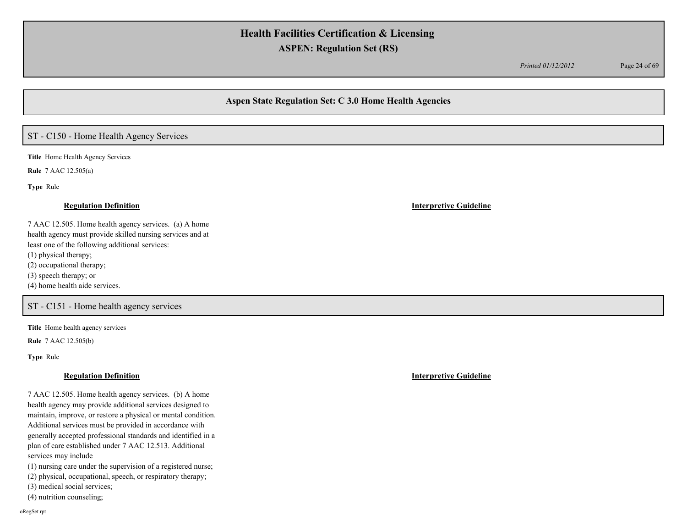*Printed 01/12/2012* Page 24 of 69

## **Aspen State Regulation Set: C 3.0 Home Health Agencies**

# ST - C150 - Home Health Agency Services

**Title** Home Health Agency Services

**Rule** 7 AAC 12.505(a)

**Type** Rule

### **Regulation Definition Interpretive Guideline**

7 AAC 12.505. Home health agency services. (a) A home health agency must provide skilled nursing services and at least one of the following additional services: (1) physical therapy; (2) occupational therapy; (3) speech therapy; or (4) home health aide services.

ST - C151 - Home health agency services

**Title** Home health agency services

**Rule** 7 AAC 12.505(b)

**Type** Rule

### **Regulation Definition Interpretive Guideline**

7 AAC 12.505. Home health agency services. (b) A home health agency may provide additional services designed to maintain, improve, or restore a physical or mental condition. Additional services must be provided in accordance with generally accepted professional standards and identified in a plan of care established under 7 AAC 12.513. Additional services may include

(1) nursing care under the supervision of a registered nurse;

(2) physical, occupational, speech, or respiratory therapy;

(3) medical social services;

(4) nutrition counseling;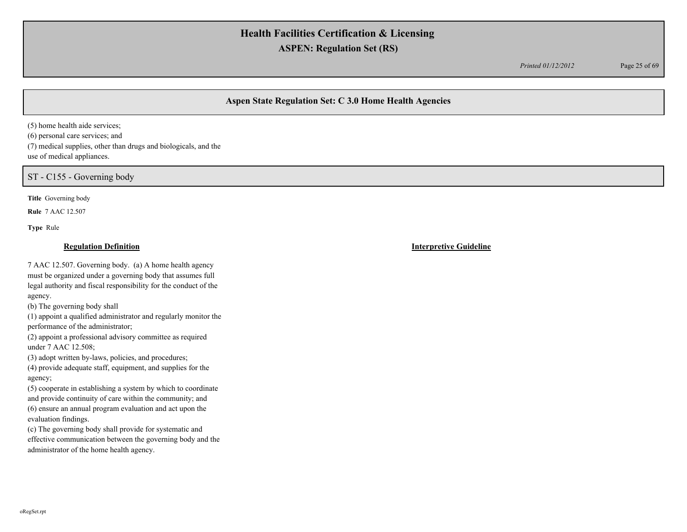*Printed 01/12/2012* Page 25 of 69

# **Aspen State Regulation Set: C 3.0 Home Health Agencies**

(5) home health aide services; (6) personal care services; and (7) medical supplies, other than drugs and biologicals, and the use of medical appliances.

ST - C155 - Governing body

**Title** Governing body

**Rule** 7 AAC 12.507

**Type** Rule

### **Regulation Definition Interpretive Guideline**

7 AAC 12.507. Governing body. (a) A home health agency must be organized under a governing body that assumes full legal authority and fiscal responsibility for the conduct of the agency.

(b) The governing body shall

(1) appoint a qualified administrator and regularly monitor the performance of the administrator;

(2) appoint a professional advisory committee as required under 7 AAC 12.508;

(3) adopt written by-laws, policies, and procedures;

(4) provide adequate staff, equipment, and supplies for the agency;

(5) cooperate in establishing a system by which to coordinate and provide continuity of care within the community; and (6) ensure an annual program evaluation and act upon the evaluation findings.

(c) The governing body shall provide for systematic and effective communication between the governing body and the administrator of the home health agency.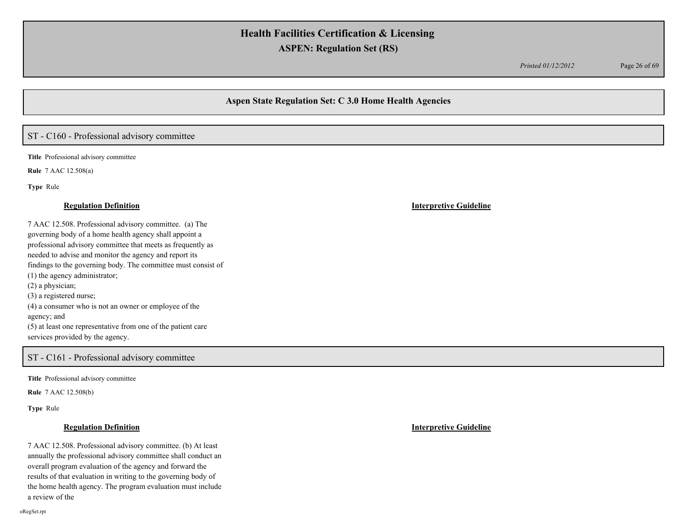*Printed 01/12/2012* Page 26 of 69

## **Aspen State Regulation Set: C 3.0 Home Health Agencies**

# ST - C160 - Professional advisory committee

**Title** Professional advisory committee

**Rule** 7 AAC 12.508(a)

**Type** Rule

7 AAC 12.508. Professional advisory committee. (a) The governing body of a home health agency shall appoint a professional advisory committee that meets as frequently as needed to advise and monitor the agency and report its findings to the governing body. The committee must consist of (1) the agency administrator; (2) a physician; (3) a registered nurse; (4) a consumer who is not an owner or employee of the agency; and (5) at least one representative from one of the patient care services provided by the agency.

## ST - C161 - Professional advisory committee

**Title** Professional advisory committee

**Rule** 7 AAC 12.508(b)

**Type** Rule

7 AAC 12.508. Professional advisory committee. (b) At least annually the professional advisory committee shall conduct an overall program evaluation of the agency and forward the results of that evaluation in writing to the governing body of the home health agency. The program evaluation must include a review of the

**Regulation Definition Interpretive Guideline**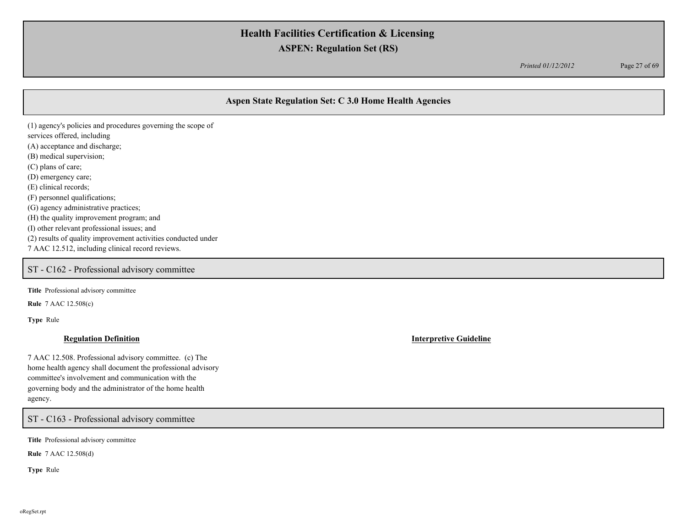*Printed 01/12/2012* Page 27 of 69

# **Aspen State Regulation Set: C 3.0 Home Health Agencies**

(1) agency's policies and procedures governing the scope of services offered, including (A) acceptance and discharge; (B) medical supervision; (C) plans of care; (D) emergency care; (E) clinical records; (F) personnel qualifications; (G) agency administrative practices; (H) the quality improvement program; and (I) other relevant professional issues; and (2) results of quality improvement activities conducted under 7 AAC 12.512, including clinical record reviews.

# ST - C162 - Professional advisory committee

**Title** Professional advisory committee

**Rule** 7 AAC 12.508(c)

**Type** Rule

7 AAC 12.508. Professional advisory committee. (c) The home health agency shall document the professional advisory committee's involvement and communication with the governing body and the administrator of the home health agency.

ST - C163 - Professional advisory committee

**Title** Professional advisory committee

**Rule** 7 AAC 12.508(d)

**Type** Rule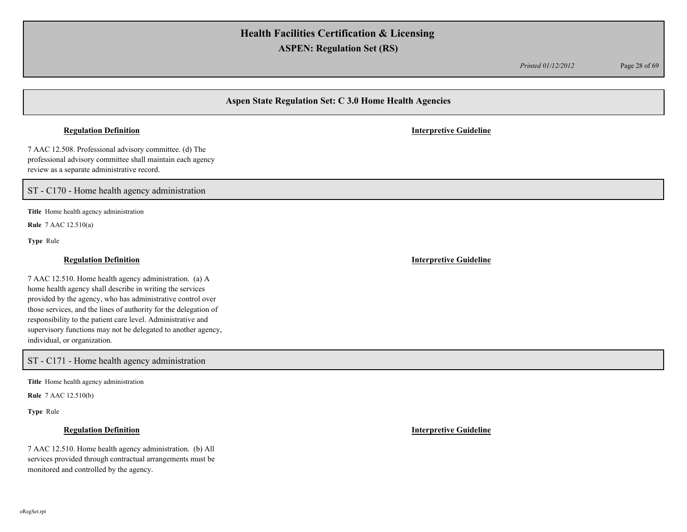*Printed 01/12/2012* Page 28 of 69

# **Aspen State Regulation Set: C 3.0 Home Health Agencies**

### **Regulation Definition Interpretive Guideline**

7 AAC 12.508. Professional advisory committee. (d) The professional advisory committee shall maintain each agency review as a separate administrative record.

ST - C170 - Home health agency administration

**Title** Home health agency administration

**Rule** 7 AAC 12.510(a)

**Type** Rule

## **Regulation Definition Interpretive Guideline**

7 AAC 12.510. Home health agency administration. (a) A home health agency shall describe in writing the services provided by the agency, who has administrative control over those services, and the lines of authority for the delegation of responsibility to the patient care level. Administrative and supervisory functions may not be delegated to another agency, individual, or organization.

ST - C171 - Home health agency administration

**Title** Home health agency administration

**Rule** 7 AAC 12.510(b)

**Type** Rule

7 AAC 12.510. Home health agency administration. (b) All services provided through contractual arrangements must be monitored and controlled by the agency.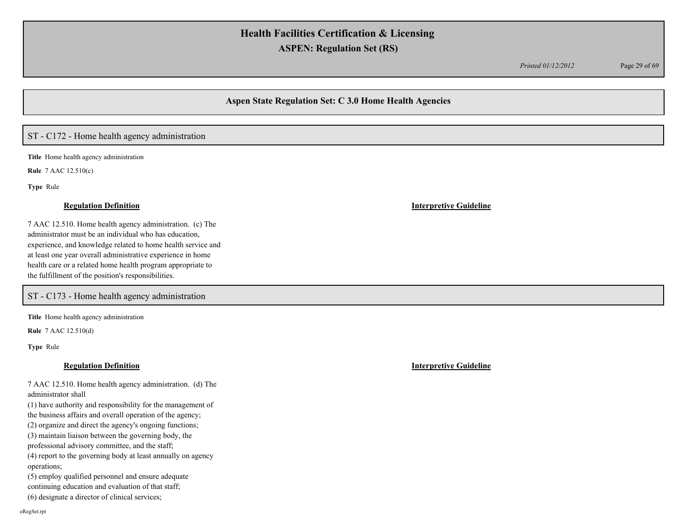*Printed 01/12/2012* Page 29 of 69

## **Aspen State Regulation Set: C 3.0 Home Health Agencies**

# ST - C172 - Home health agency administration

**Title** Home health agency administration

**Rule** 7 AAC 12.510(c)

**Type** Rule

### **Regulation Definition Interpretive Guideline**

7 AAC 12.510. Home health agency administration. (c) The administrator must be an individual who has education, experience, and knowledge related to home health service and at least one year overall administrative experience in home health care or a related home health program appropriate to the fulfillment of the position's responsibilities.

ST - C173 - Home health agency administration

**Title** Home health agency administration

**Rule** 7 AAC 12.510(d)

**Type** Rule

| 7 AAC 12.510. Home health agency administration. (d) The |  |
|----------------------------------------------------------|--|
| administrator shall                                      |  |

(1) have authority and responsibility for the management of the business affairs and overall operation of the agency;

(2) organize and direct the agency's ongoing functions;

(3) maintain liaison between the governing body, the

professional advisory committee, and the staff;

(4) report to the governing body at least annually on agency operations;

(5) employ qualified personnel and ensure adequate

continuing education and evaluation of that staff;

(6) designate a director of clinical services;

**Regulation Definition Interpretive Guideline**

oRegSet.rpt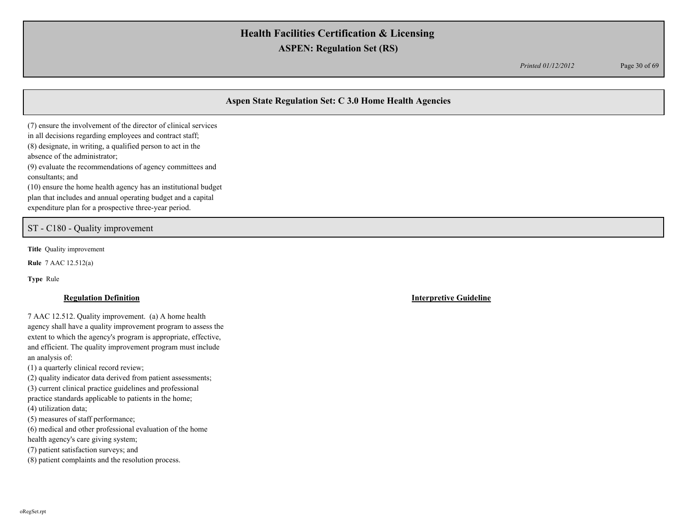*Printed 01/12/2012* Page 30 of 69

# **Aspen State Regulation Set: C 3.0 Home Health Agencies**

(7) ensure the involvement of the director of clinical services in all decisions regarding employees and contract staff; (8) designate, in writing, a qualified person to act in the absence of the administrator; (9) evaluate the recommendations of agency committees and consultants; and (10) ensure the home health agency has an institutional budget plan that includes and annual operating budget and a capital expenditure plan for a prospective three-year period.

ST - C180 - Quality improvement

**Title** Quality improvement

**Rule** 7 AAC 12.512(a)

**Type** Rule

7 AAC 12.512. Quality improvement. (a) A home health agency shall have a quality improvement program to assess the extent to which the agency's program is appropriate, effective, and efficient. The quality improvement program must include an analysis of:

(1) a quarterly clinical record review;

(2) quality indicator data derived from patient assessments;

(3) current clinical practice guidelines and professional

practice standards applicable to patients in the home;

(4) utilization data;

(5) measures of staff performance;

(6) medical and other professional evaluation of the home

health agency's care giving system;

(7) patient satisfaction surveys; and

(8) patient complaints and the resolution process.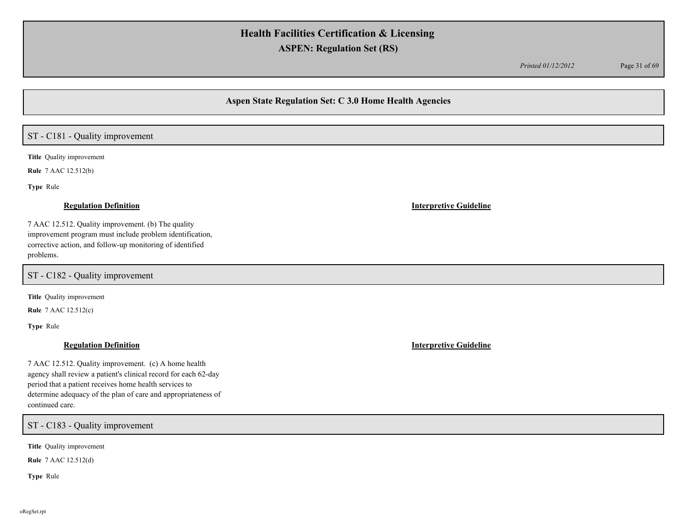*Printed 01/12/2012* Page 31 of 69

## **Aspen State Regulation Set: C 3.0 Home Health Agencies**

## ST - C181 - Quality improvement

**Title** Quality improvement

**Rule** 7 AAC 12.512(b)

**Type** Rule

7 AAC 12.512. Quality improvement. (b) The quality improvement program must include problem identification, corrective action, and follow-up monitoring of identified problems.

ST - C182 - Quality improvement

**Title** Quality improvement

**Rule** 7 AAC 12.512(c)

**Type** Rule

7 AAC 12.512. Quality improvement. (c) A home health agency shall review a patient's clinical record for each 62-day period that a patient receives home health services to determine adequacy of the plan of care and appropriateness of continued care.

ST - C183 - Quality improvement

**Title** Quality improvement

**Rule** 7 AAC 12.512(d)

**Type** Rule

### **Regulation Definition Interpretive Guideline**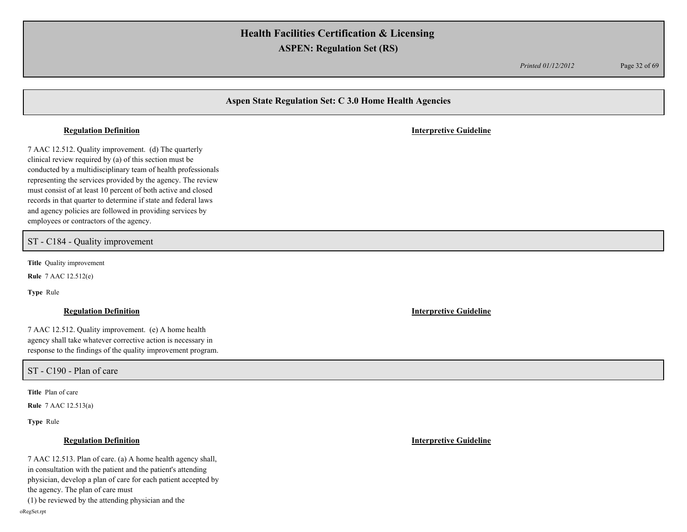*Printed 01/12/2012* Page 32 of 69

## **Aspen State Regulation Set: C 3.0 Home Health Agencies**

### **Regulation Definition Interpretive Guideline**

7 AAC 12.512. Quality improvement. (d) The quarterly clinical review required by (a) of this section must be conducted by a multidisciplinary team of health professionals representing the services provided by the agency. The review must consist of at least 10 percent of both active and closed records in that quarter to determine if state and federal laws and agency policies are followed in providing services by employees or contractors of the agency.

ST - C184 - Quality improvement

**Title** Quality improvement

**Rule** 7 AAC 12.512(e)

**Type** Rule

### **Regulation Definition Interpretive Guideline**

7 AAC 12.512. Quality improvement. (e) A home health agency shall take whatever corrective action is necessary in response to the findings of the quality improvement program.

ST - C190 - Plan of care

**Title** Plan of care

**Rule** 7 AAC 12.513(a)

**Type** Rule

## **Regulation Definition Interpretive Guideline**

7 AAC 12.513. Plan of care. (a) A home health agency shall, in consultation with the patient and the patient's attending physician, develop a plan of care for each patient accepted by the agency. The plan of care must (1) be reviewed by the attending physician and the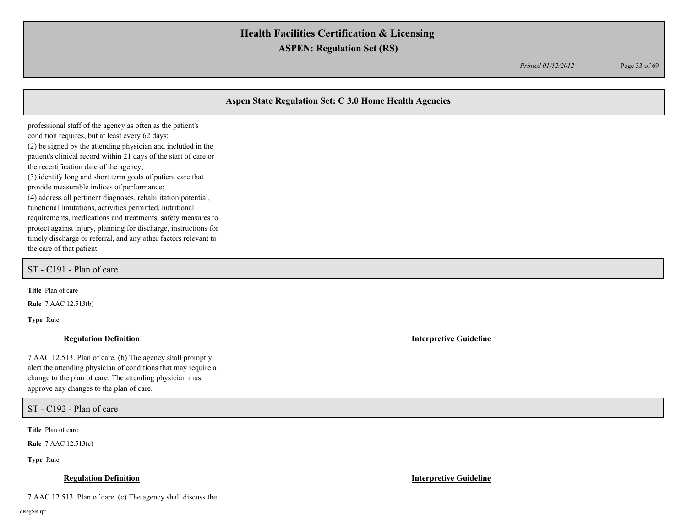*Printed 01/12/2012* Page 33 of 69

## **Aspen State Regulation Set: C 3.0 Home Health Agencies**

professional staff of the agency as often as the patient's condition requires, but at least every 62 days; (2) be signed by the attending physician and included in the patient's clinical record within 21 days of the start of care or the recertification date of the agency; (3) identify long and short term goals of patient care that provide measurable indices of performance; (4) address all pertinent diagnoses, rehabilitation potential, functional limitations, activities permitted, nutritional requirements, medications and treatments, safety measures to protect against injury, planning for discharge, instructions for timely discharge or referral, and any other factors relevant to the care of that patient.

ST - C191 - Plan of care

**Title** Plan of care

**Rule** 7 AAC 12.513(b)

**Type** Rule

### **Regulation Definition Interpretive Guideline**

7 AAC 12.513. Plan of care. (b) The agency shall promptly alert the attending physician of conditions that may require a change to the plan of care. The attending physician must approve any changes to the plan of care.

ST - C192 - Plan of care

**Title** Plan of care

**Rule** 7 AAC 12.513(c)

**Type** Rule

### **Regulation Definition Interpretive Guideline**

7 AAC 12.513. Plan of care. (c) The agency shall discuss the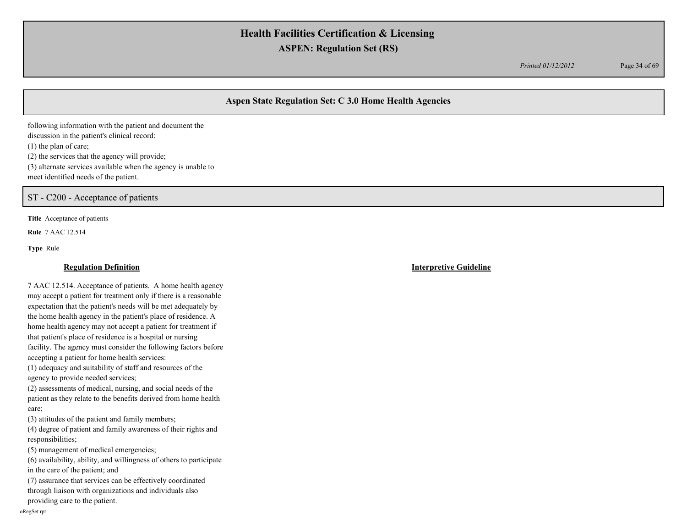*Printed 01/12/2012* Page 34 of 69

# **Aspen State Regulation Set: C 3.0 Home Health Agencies**

following information with the patient and document the discussion in the patient's clinical record: (1) the plan of care; (2) the services that the agency will provide; (3) alternate services available when the agency is unable to meet identified needs of the patient.

ST - C200 - Acceptance of patients

**Title** Acceptance of patients

**Rule** 7 AAC 12.514

**Type** Rule

## **Regulation Definition Interpretive Guideline**

7 AAC 12.514. Acceptance of patients. A home health agency may accept a patient for treatment only if there is a reasonable expectation that the patient's needs will be met adequately by the home health agency in the patient's place of residence. A home health agency may not accept a patient for treatment if that patient's place of residence is a hospital or nursing facility. The agency must consider the following factors before accepting a patient for home health services: (1) adequacy and suitability of staff and resources of the agency to provide needed services; (2) assessments of medical, nursing, and social needs of the patient as they relate to the benefits derived from home health care; (3) attitudes of the patient and family members; (4) degree of patient and family awareness of their rights and responsibilities; (5) management of medical emergencies; (6) availability, ability, and willingness of others to participate in the care of the patient; and (7) assurance that services can be effectively coordinated through liaison with organizations and individuals also providing care to the patient. oRegSet.rpt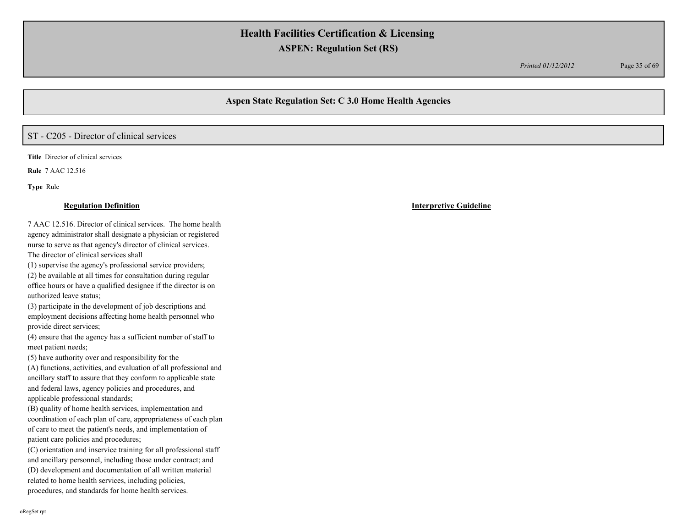*Printed 01/12/2012* Page 35 of 69

## **Aspen State Regulation Set: C 3.0 Home Health Agencies**

# ST - C205 - Director of clinical services

**Title** Director of clinical services

**Rule** 7 AAC 12.516

**Type** Rule

### **Regulation Definition Interpretive Guideline**

7 AAC 12.516. Director of clinical services. The home health agency administrator shall designate a physician or registered nurse to serve as that agency's director of clinical services. The director of clinical services shall

(1) supervise the agency's professional service providers; (2) be available at all times for consultation during regular office hours or have a qualified designee if the director is on authorized leave status;

(3) participate in the development of job descriptions and employment decisions affecting home health personnel who provide direct services;

(4) ensure that the agency has a sufficient number of staff to meet patient needs;

(5) have authority over and responsibility for the

(A) functions, activities, and evaluation of all professional and ancillary staff to assure that they conform to applicable state and federal laws, agency policies and procedures, and applicable professional standards;

(B) quality of home health services, implementation and coordination of each plan of care, appropriateness of each plan of care to meet the patient's needs, and implementation of patient care policies and procedures;

(C) orientation and inservice training for all professional staff and ancillary personnel, including those under contract; and (D) development and documentation of all written material related to home health services, including policies, procedures, and standards for home health services.

oRegSet.rpt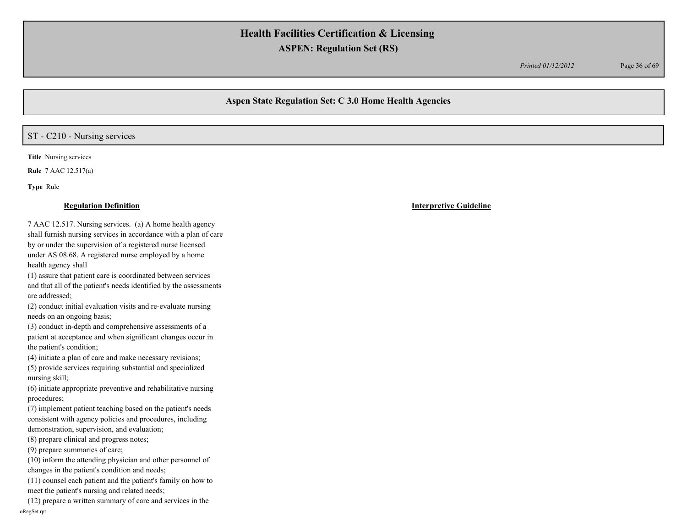*Printed 01/12/2012* Page 36 of 69

## **Aspen State Regulation Set: C 3.0 Home Health Agencies**

## ST - C210 - Nursing services

**Title** Nursing services

**Rule** 7 AAC 12.517(a)

**Type** Rule

7 AAC 12.517. Nursing services. (a) A home health agency shall furnish nursing services in accordance with a plan of care by or under the supervision of a registered nurse licensed under AS 08.68. A registered nurse employed by a home health agency shall

(1) assure that patient care is coordinated between services and that all of the patient's needs identified by the assessments are addressed;

(2) conduct initial evaluation visits and re-evaluate nursing needs on an ongoing basis;

(3) conduct in-depth and comprehensive assessments of a patient at acceptance and when significant changes occur in the patient's condition;

(4) initiate a plan of care and make necessary revisions;

(5) provide services requiring substantial and specialized nursing skill;

(6) initiate appropriate preventive and rehabilitative nursing procedures;

(7) implement patient teaching based on the patient's needs consistent with agency policies and procedures, including demonstration, supervision, and evaluation;

(8) prepare clinical and progress notes;

(9) prepare summaries of care;

(10) inform the attending physician and other personnel of changes in the patient's condition and needs;

(11) counsel each patient and the patient's family on how to meet the patient's nursing and related needs;

(12) prepare a written summary of care and services in the oRegSet.rpt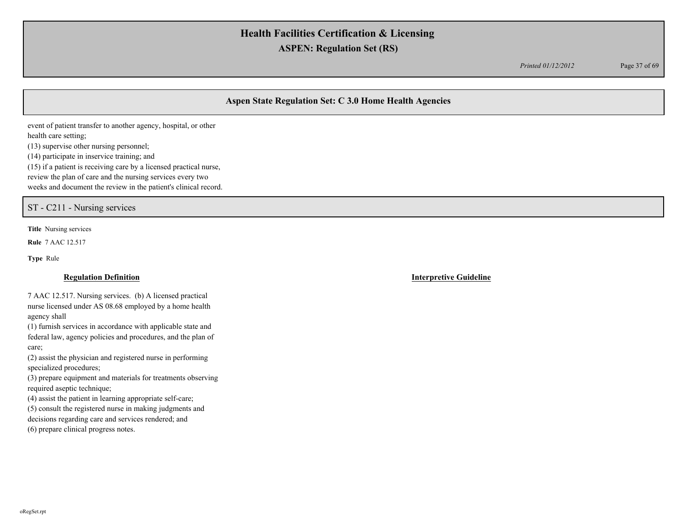*Printed 01/12/2012* Page 37 of 69

# **Aspen State Regulation Set: C 3.0 Home Health Agencies**

event of patient transfer to another agency, hospital, or other health care setting; (13) supervise other nursing personnel;

(14) participate in inservice training; and

(15) if a patient is receiving care by a licensed practical nurse,

review the plan of care and the nursing services every two

weeks and document the review in the patient's clinical record.

ST - C211 - Nursing services

**Title** Nursing services

**Rule** 7 AAC 12.517

**Type** Rule

### **Regulation Definition Interpretive Guideline**

7 AAC 12.517. Nursing services. (b) A licensed practical nurse licensed under AS 08.68 employed by a home health agency shall

(1) furnish services in accordance with applicable state and federal law, agency policies and procedures, and the plan of care;

(2) assist the physician and registered nurse in performing specialized procedures;

(3) prepare equipment and materials for treatments observing required aseptic technique;

(4) assist the patient in learning appropriate self-care;

(5) consult the registered nurse in making judgments and decisions regarding care and services rendered; and

(6) prepare clinical progress notes.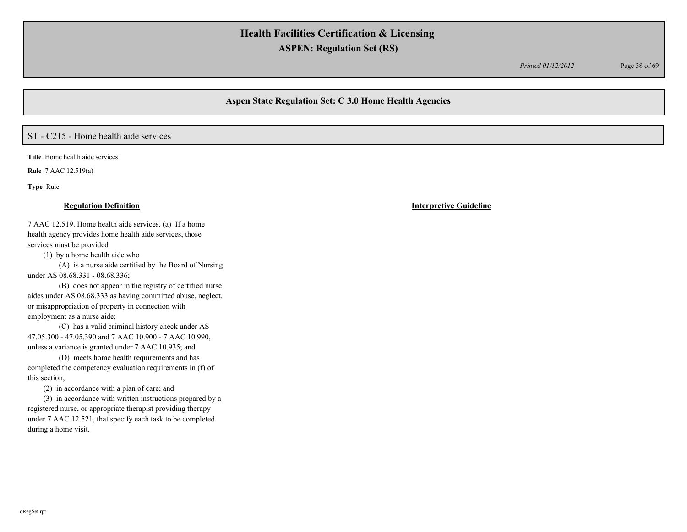*Printed 01/12/2012* Page 38 of 69

## **Aspen State Regulation Set: C 3.0 Home Health Agencies**

# ST - C215 - Home health aide services

**Title** Home health aide services

**Rule** 7 AAC 12.519(a)

**Type** Rule

7 AAC 12.519. Home health aide services. (a) If a home health agency provides home health aide services, those services must be provided

(1) by a home health aide who

(A) is a nurse aide certified by the Board of Nursing under AS 08.68.331 - 08.68.336;

(B) does not appear in the registry of certified nurse aides under AS 08.68.333 as having committed abuse, neglect, or misappropriation of property in connection with employment as a nurse aide;

(C) has a valid criminal history check under AS 47.05.300 - 47.05.390 and 7 AAC 10.900 - 7 AAC 10.990, unless a variance is granted under 7 AAC 10.935; and

(D) meets home health requirements and has completed the competency evaluation requirements in (f) of this section;

(2) in accordance with a plan of care; and

(3) in accordance with written instructions prepared by a registered nurse, or appropriate therapist providing therapy under 7 AAC 12.521, that specify each task to be completed during a home visit.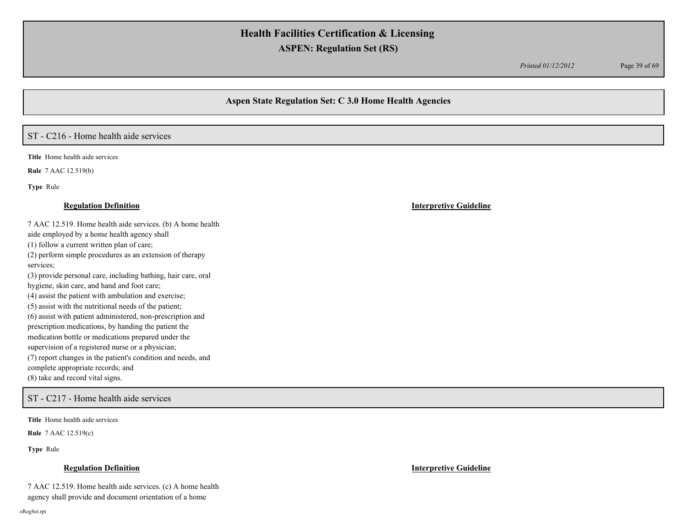*Printed 01/12/2012* Page 39 of 69

## **Aspen State Regulation Set: C 3.0 Home Health Agencies**

# ST - C216 - Home health aide services

**Title** Home health aide services

**Rule** 7 AAC 12.519(b)

**Type** Rule

7 AAC 12.519. Home health aide services. (b) A home health aide employed by a home health agency shall (1) follow a current written plan of care; (2) perform simple procedures as an extension of therapy services; (3) provide personal care, including bathing, hair care, oral hygiene, skin care, and hand and foot care; (4) assist the patient with ambulation and exercise; (5) assist with the nutritional needs of the patient; (6) assist with patient administered, non-prescription and prescription medications, by handing the patient the medication bottle or medications prepared under the supervision of a registered nurse or a physician; (7) report changes in the patient's condition and needs, and complete appropriate records; and (8) take and record vital signs.

## ST - C217 - Home health aide services

**Title** Home health aide services

**Rule** 7 AAC 12.519(c)

**Type** Rule

### **Regulation Definition Interpretive Guideline**

7 AAC 12.519. Home health aide services. (c) A home health agency shall provide and document orientation of a home

oRegSet.rpt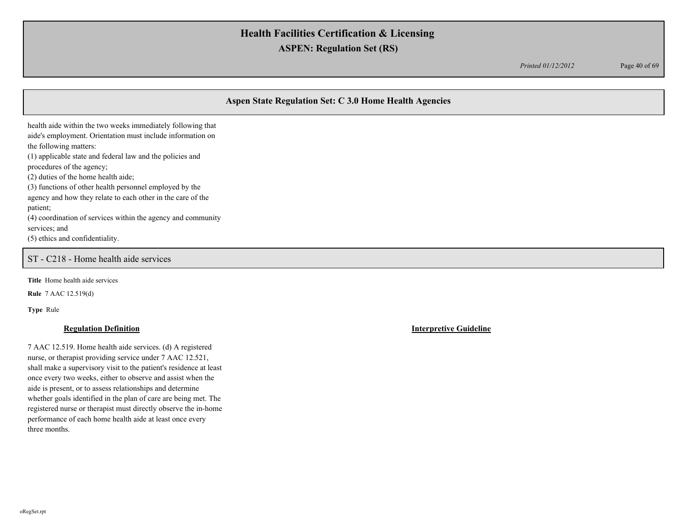*Printed 01/12/2012* Page 40 of 69

# **Aspen State Regulation Set: C 3.0 Home Health Agencies**

health aide within the two weeks immediately following that aide's employment. Orientation must include information on the following matters: (1) applicable state and federal law and the policies and procedures of the agency; (2) duties of the home health aide; (3) functions of other health personnel employed by the agency and how they relate to each other in the care of the

patient;

(4) coordination of services within the agency and community services; and

(5) ethics and confidentiality.

ST - C218 - Home health aide services

**Title** Home health aide services

**Rule** 7 AAC 12.519(d)

**Type** Rule

7 AAC 12.519. Home health aide services. (d) A registered nurse, or therapist providing service under 7 AAC 12.521, shall make a supervisory visit to the patient's residence at least once every two weeks, either to observe and assist when the aide is present, or to assess relationships and determine whether goals identified in the plan of care are being met. The registered nurse or therapist must directly observe the in-home performance of each home health aide at least once every three months.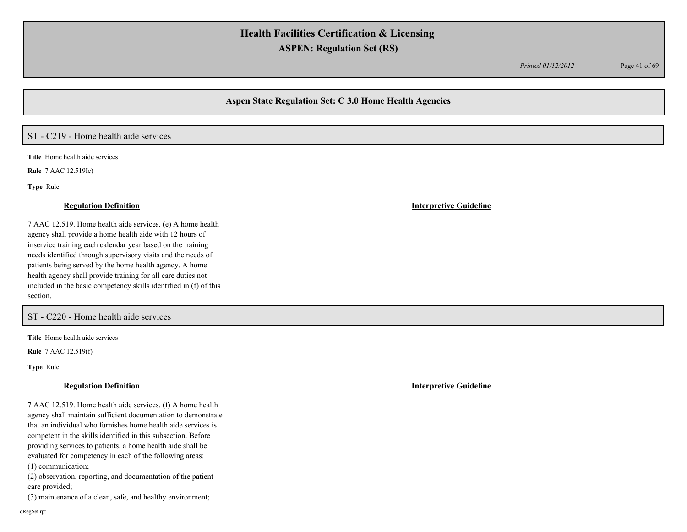*Printed 01/12/2012* Page 41 of 69

## **Aspen State Regulation Set: C 3.0 Home Health Agencies**

# ST - C219 - Home health aide services

**Title** Home health aide services

**Rule** 7 AAC 12.519Ie)

**Type** Rule

### **Regulation Definition Interpretive Guideline**

7 AAC 12.519. Home health aide services. (e) A home health agency shall provide a home health aide with 12 hours of inservice training each calendar year based on the training needs identified through supervisory visits and the needs of patients being served by the home health agency. A home health agency shall provide training for all care duties not included in the basic competency skills identified in (f) of this section.

# ST - C220 - Home health aide services

**Title** Home health aide services

**Rule** 7 AAC 12.519(f)

**Type** Rule

7 AAC 12.519. Home health aide services. (f) A home health agency shall maintain sufficient documentation to demonstrate that an individual who furnishes home health aide services is competent in the skills identified in this subsection. Before providing services to patients, a home health aide shall be evaluated for competency in each of the following areas: (1) communication;

(2) observation, reporting, and documentation of the patient care provided;

(3) maintenance of a clean, safe, and healthy environment;

oRegSet.rpt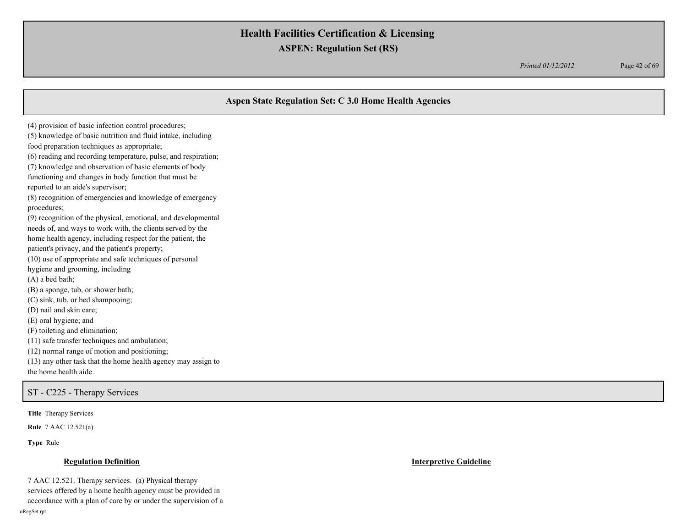*Printed 01/12/2012* Page 42 of 69

# **Aspen State Regulation Set: C 3.0 Home Health Agencies** (4) provision of basic infection control procedures; (5) knowledge of basic nutrition and fluid intake, including food preparation techniques as appropriate; (6) reading and recording temperature, pulse, and respiration; (7) knowledge and observation of basic elements of body functioning and changes in body function that must be reported to an aide's supervisor; (8) recognition of emergencies and knowledge of emergency procedures; (9) recognition of the physical, emotional, and developmental needs of, and ways to work with, the clients served by the home health agency, including respect for the patient, the patient's privacy, and the patient's property; (10) use of appropriate and safe techniques of personal hygiene and grooming, including (A) a bed bath; (B) a sponge, tub, or shower bath; (C) sink, tub, or bed shampooing; (D) nail and skin care; (E) oral hygiene; and (F) toileting and elimination; (11) safe transfer techniques and ambulation; (12) normal range of motion and positioning; (13) any other task that the home health agency may assign to the home health aide. ST - C225 - Therapy Services

**Title** Therapy Services

**Rule** 7 AAC 12.521(a)

**Type** Rule

7 AAC 12.521. Therapy services. (a) Physical therapy services offered by a home health agency must be provided in accordance with a plan of care by or under the supervision of a oRegSet.rpt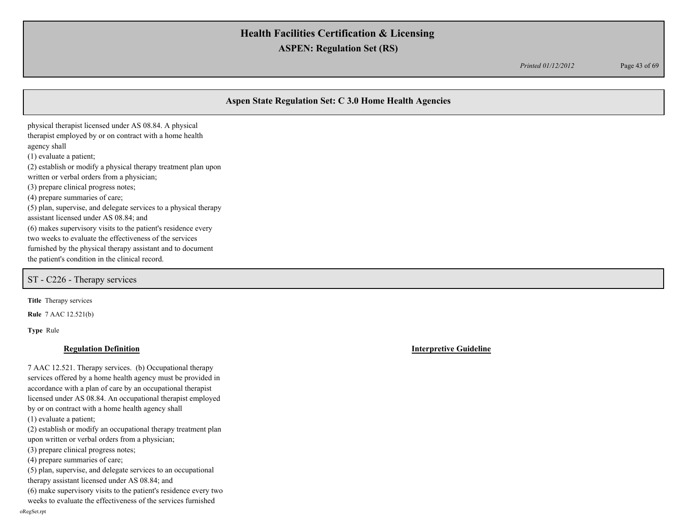*Printed 01/12/2012* Page 43 of 69

# **Aspen State Regulation Set: C 3.0 Home Health Agencies**

physical therapist licensed under AS 08.84. A physical therapist employed by or on contract with a home health agency shall (1) evaluate a patient; (2) establish or modify a physical therapy treatment plan upon written or verbal orders from a physician; (3) prepare clinical progress notes; (4) prepare summaries of care; (5) plan, supervise, and delegate services to a physical therapy assistant licensed under AS 08.84; and (6) makes supervisory visits to the patient's residence every two weeks to evaluate the effectiveness of the services furnished by the physical therapy assistant and to document the patient's condition in the clinical record.

ST - C226 - Therapy services

**Title** Therapy services

**Rule** 7 AAC 12.521(b)

**Type** Rule

oRegSet.rpt

### **Regulation Definition Interpretive Guideline**

7 AAC 12.521. Therapy services. (b) Occupational therapy services offered by a home health agency must be provided in accordance with a plan of care by an occupational therapist licensed under AS 08.84. An occupational therapist employed by or on contract with a home health agency shall (1) evaluate a patient; (2) establish or modify an occupational therapy treatment plan upon written or verbal orders from a physician; (3) prepare clinical progress notes; (4) prepare summaries of care; (5) plan, supervise, and delegate services to an occupational therapy assistant licensed under AS 08.84; and (6) make supervisory visits to the patient's residence every two weeks to evaluate the effectiveness of the services furnished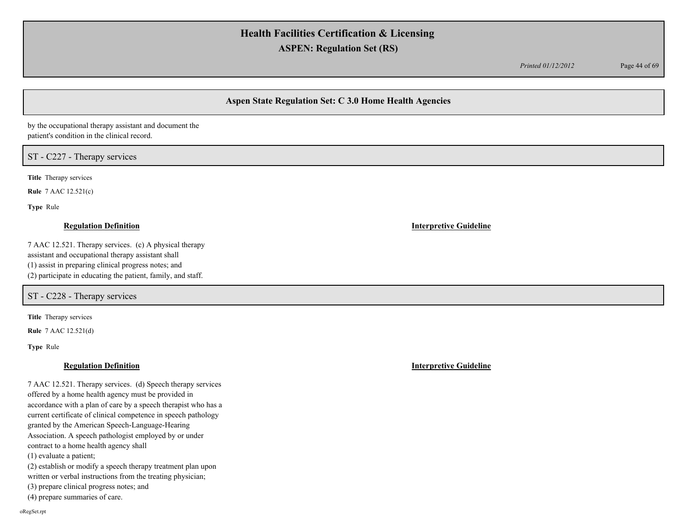*Printed 01/12/2012* Page 44 of 69

# **Aspen State Regulation Set: C 3.0 Home Health Agencies**

by the occupational therapy assistant and document the patient's condition in the clinical record.

## ST - C227 - Therapy services

**Title** Therapy services

**Rule** 7 AAC 12.521(c)

**Type** Rule

7 AAC 12.521. Therapy services. (c) A physical therapy assistant and occupational therapy assistant shall (1) assist in preparing clinical progress notes; and (2) participate in educating the patient, family, and staff.

ST - C228 - Therapy services

**Title** Therapy services

**Rule** 7 AAC 12.521(d)

**Type** Rule

### **Regulation Definition Interpretive Guideline**

7 AAC 12.521. Therapy services. (d) Speech therapy services offered by a home health agency must be provided in accordance with a plan of care by a speech therapist who has a current certificate of clinical competence in speech pathology granted by the American Speech-Language-Hearing Association. A speech pathologist employed by or under contract to a home health agency shall (1) evaluate a patient; (2) establish or modify a speech therapy treatment plan upon written or verbal instructions from the treating physician; (3) prepare clinical progress notes; and (4) prepare summaries of care.

**Regulation Definition Interpretive Guideline**

oRegSet.rpt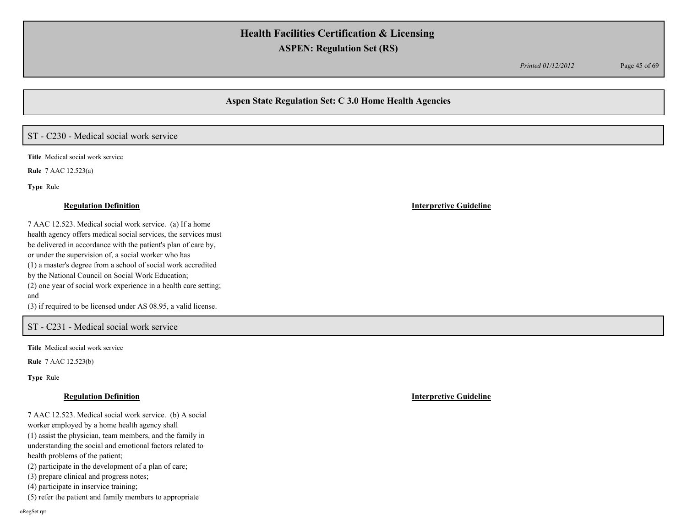*Printed 01/12/2012* Page 45 of 69

## **Aspen State Regulation Set: C 3.0 Home Health Agencies**

# ST - C230 - Medical social work service

**Title** Medical social work service

**Rule** 7 AAC 12.523(a)

**Type** Rule

### **Regulation Definition Interpretive Guideline**

7 AAC 12.523. Medical social work service. (a) If a home health agency offers medical social services, the services must be delivered in accordance with the patient's plan of care by, or under the supervision of, a social worker who has (1) a master's degree from a school of social work accredited by the National Council on Social Work Education; (2) one year of social work experience in a health care setting; and (3) if required to be licensed under AS 08.95, a valid license.

## ST - C231 - Medical social work service

**Title** Medical social work service

**Rule** 7 AAC 12.523(b)

**Type** Rule

7 AAC 12.523. Medical social work service. (b) A social worker employed by a home health agency shall (1) assist the physician, team members, and the family in understanding the social and emotional factors related to health problems of the patient; (2) participate in the development of a plan of care; (3) prepare clinical and progress notes;

(4) participate in inservice training;

(5) refer the patient and family members to appropriate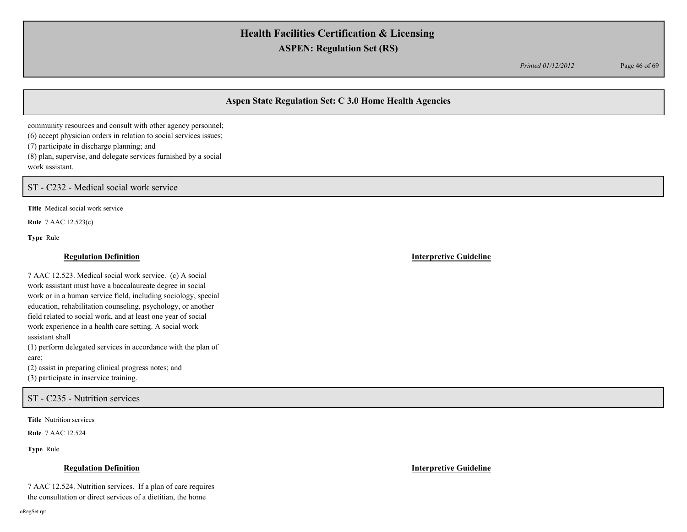*Printed 01/12/2012* Page 46 of 69

# **Aspen State Regulation Set: C 3.0 Home Health Agencies**

community resources and consult with other agency personnel; (6) accept physician orders in relation to social services issues; (7) participate in discharge planning; and (8) plan, supervise, and delegate services furnished by a social work assistant.

ST - C232 - Medical social work service

**Title** Medical social work service

**Rule** 7 AAC 12.523(c)

**Type** Rule

## **Regulation Definition Interpretive Guideline**

7 AAC 12.523. Medical social work service. (c) A social work assistant must have a baccalaureate degree in social work or in a human service field, including sociology, special education, rehabilitation counseling, psychology, or another field related to social work, and at least one year of social work experience in a health care setting. A social work assistant shall (1) perform delegated services in accordance with the plan of care; (2) assist in preparing clinical progress notes; and

(3) participate in inservice training.

ST - C235 - Nutrition services

**Title** Nutrition services

**Rule** 7 AAC 12.524

**Type** Rule

### **Regulation Definition Interpretive Guideline**

7 AAC 12.524. Nutrition services. If a plan of care requires the consultation or direct services of a dietitian, the home

oRegSet.rpt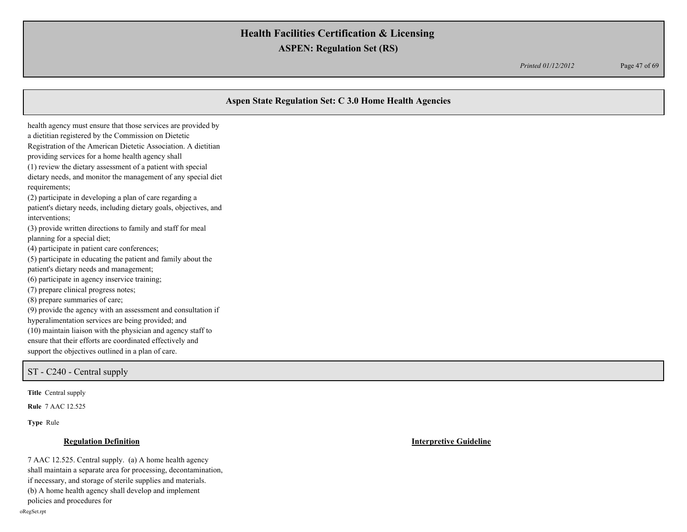*Printed 01/12/2012* Page 47 of 69

# **Aspen State Regulation Set: C 3.0 Home Health Agencies** health agency must ensure that those services are provided by a dietitian registered by the Commission on Dietetic Registration of the American Dietetic Association. A dietitian providing services for a home health agency shall (1) review the dietary assessment of a patient with special dietary needs, and monitor the management of any special diet requirements; (2) participate in developing a plan of care regarding a patient's dietary needs, including dietary goals, objectives, and interventions; (3) provide written directions to family and staff for meal planning for a special diet; (4) participate in patient care conferences; (5) participate in educating the patient and family about the patient's dietary needs and management; (6) participate in agency inservice training; (7) prepare clinical progress notes; (8) prepare summaries of care; (9) provide the agency with an assessment and consultation if hyperalimentation services are being provided; and (10) maintain liaison with the physician and agency staff to ensure that their efforts are coordinated effectively and support the objectives outlined in a plan of care.

### ST - C240 - Central supply

**Title** Central supply

**Rule** 7 AAC 12.525

**Type** Rule

### **Regulation Definition Interpretive Guideline**

7 AAC 12.525. Central supply. (a) A home health agency shall maintain a separate area for processing, decontamination, if necessary, and storage of sterile supplies and materials. (b) A home health agency shall develop and implement policies and procedures for oRegSet.rpt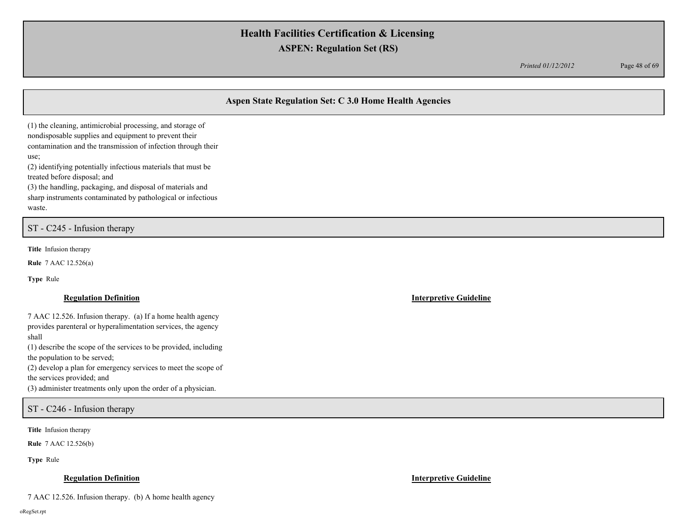*Printed 01/12/2012* Page 48 of 69

# **Aspen State Regulation Set: C 3.0 Home Health Agencies**

(1) the cleaning, antimicrobial processing, and storage of nondisposable supplies and equipment to prevent their contamination and the transmission of infection through their use; (2) identifying potentially infectious materials that must be

treated before disposal; and

(3) the handling, packaging, and disposal of materials and sharp instruments contaminated by pathological or infectious waste.

ST - C245 - Infusion therapy

**Title** Infusion therapy

**Rule** 7 AAC 12.526(a)

**Type** Rule

### **Regulation Definition Interpretive Guideline**

7 AAC 12.526. Infusion therapy. (a) If a home health agency provides parenteral or hyperalimentation services, the agency shall

(1) describe the scope of the services to be provided, including the population to be served;

(2) develop a plan for emergency services to meet the scope of

the services provided; and

(3) administer treatments only upon the order of a physician.

ST - C246 - Infusion therapy

**Title** Infusion therapy

**Rule** 7 AAC 12.526(b)

**Type** Rule

### **Regulation Definition Interpretive Guideline**

7 AAC 12.526. Infusion therapy. (b) A home health agency

oRegSet.rpt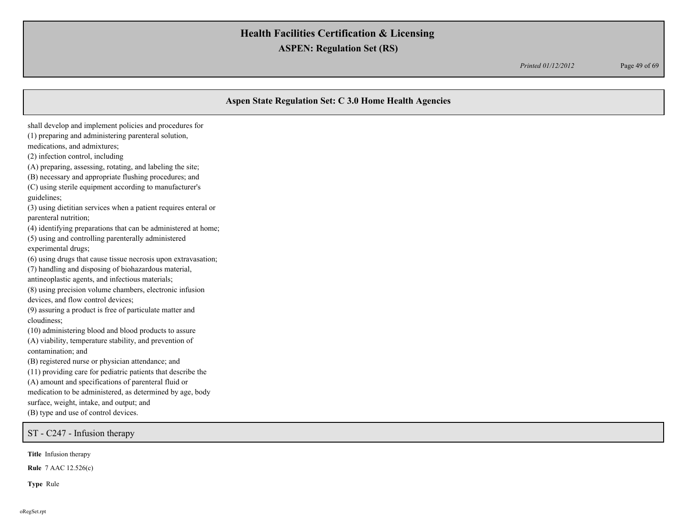*Printed 01/12/2012* Page 49 of 69

## **Aspen State Regulation Set: C 3.0 Home Health Agencies**

medications, and admixtures; (2) infection control, including (A) preparing, assessing, rotating, and labeling the site; (B) necessary and appropriate flushing procedures; and (C) using sterile equipment according to manufacturer's guidelines; (3) using dietitian services when a patient requires enteral or parenteral nutrition; (4) identifying preparations that can be administered at home; (5) using and controlling parenterally administered experimental drugs; (6) using drugs that cause tissue necrosis upon extravasation; (7) handling and disposing of biohazardous material, antineoplastic agents, and infectious materials; (8) using precision volume chambers, electronic infusion devices, and flow control devices; (9) assuring a product is free of particulate matter and cloudiness; (10) administering blood and blood products to assure (A) viability, temperature stability, and prevention of contamination; and (B) registered nurse or physician attendance; and (11) providing care for pediatric patients that describe the (A) amount and specifications of parenteral fluid or medication to be administered, as determined by age, body surface, weight, intake, and output; and (B) type and use of control devices. ST - C247 - Infusion therapy

shall develop and implement policies and procedures for (1) preparing and administering parenteral solution,

**Title** Infusion therapy

**Rule** 7 AAC 12.526(c)

**Type** Rule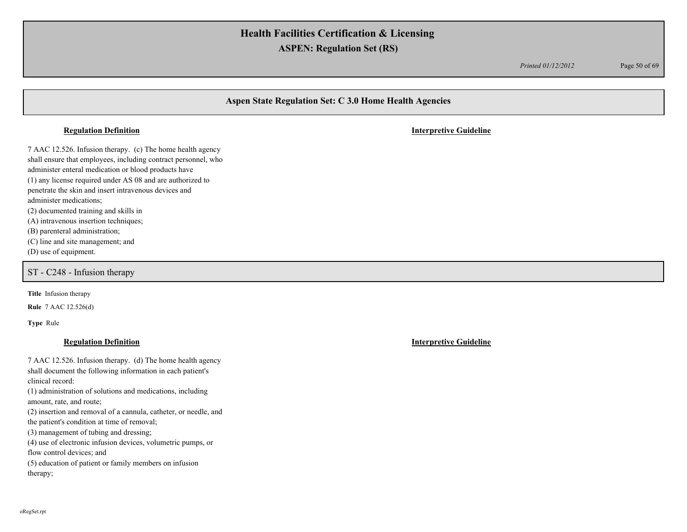*Printed 01/12/2012* Page 50 of 69

## **Aspen State Regulation Set: C 3.0 Home Health Agencies**

7 AAC 12.526. Infusion therapy. (c) The home health agency shall ensure that employees, including contract personnel, who administer enteral medication or blood products have (1) any license required under AS 08 and are authorized to penetrate the skin and insert intravenous devices and administer medications; (2) documented training and skills in (A) intravenous insertion techniques; (B) parenteral administration;

(C) line and site management; and

(D) use of equipment.

ST - C248 - Infusion therapy

**Title** Infusion therapy

**Rule** 7 AAC 12.526(d)

**Type** Rule

7 AAC 12.526. Infusion therapy. (d) The home health agency shall document the following information in each patient's clinical record: (1) administration of solutions and medications, including amount, rate, and route; (2) insertion and removal of a cannula, catheter, or needle, and the patient's condition at time of removal; (3) management of tubing and dressing; (4) use of electronic infusion devices, volumetric pumps, or flow control devices; and (5) education of patient or family members on infusion therapy;

**Regulation Definition Interpretive Guideline**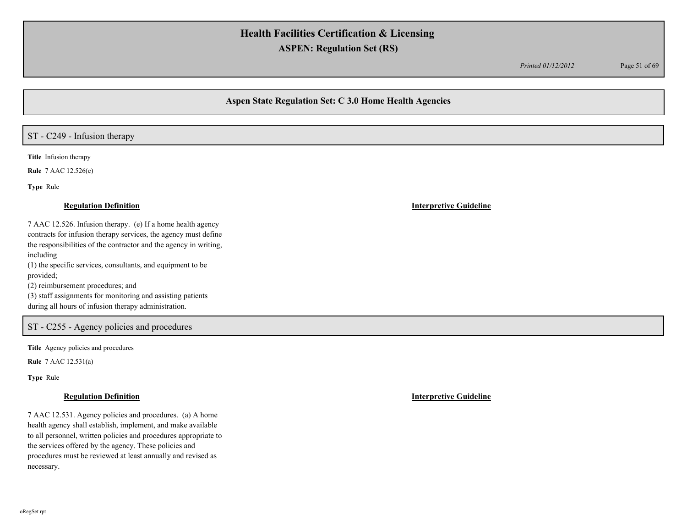*Printed 01/12/2012* Page 51 of 69

# **Aspen State Regulation Set: C 3.0 Home Health Agencies**

# ST - C249 - Infusion therapy

**Title** Infusion therapy

**Rule** 7 AAC 12.526(e)

**Type** Rule

### **Regulation Definition Interpretive Guideline**

7 AAC 12.526. Infusion therapy. (e) If a home health agency contracts for infusion therapy services, the agency must define the responsibilities of the contractor and the agency in writing, including (1) the specific services, consultants, and equipment to be

provided;

(2) reimbursement procedures; and

(3) staff assignments for monitoring and assisting patients during all hours of infusion therapy administration.

## ST - C255 - Agency policies and procedures

**Title** Agency policies and procedures

**Rule** 7 AAC 12.531(a)

**Type** Rule

7 AAC 12.531. Agency policies and procedures. (a) A home health agency shall establish, implement, and make available to all personnel, written policies and procedures appropriate to the services offered by the agency. These policies and procedures must be reviewed at least annually and revised as necessary.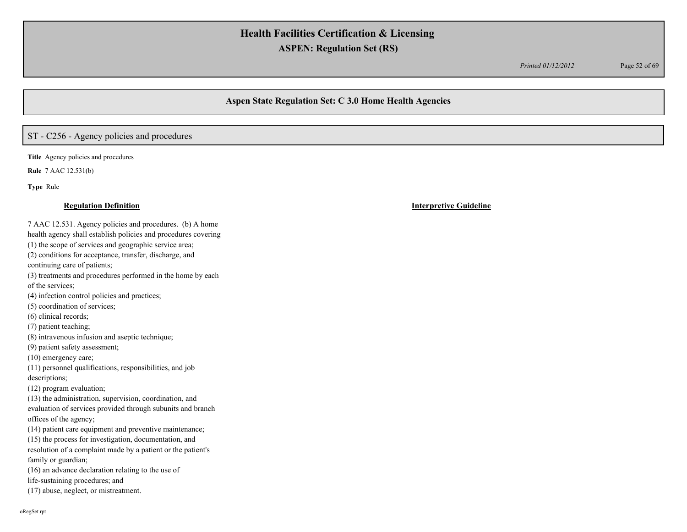*Printed 01/12/2012* Page 52 of 69

## **Aspen State Regulation Set: C 3.0 Home Health Agencies**

# ST - C256 - Agency policies and procedures

**Title** Agency policies and procedures

**Rule** 7 AAC 12.531(b)

**Type** Rule

7 AAC 12.531. Agency policies and procedures. (b) A home health agency shall establish policies and procedures covering (1) the scope of services and geographic service area; (2) conditions for acceptance, transfer, discharge, and continuing care of patients; (3) treatments and procedures performed in the home by each of the services; (4) infection control policies and practices; (5) coordination of services; (6) clinical records; (7) patient teaching; (8) intravenous infusion and aseptic technique; (9) patient safety assessment; (10) emergency care; (11) personnel qualifications, responsibilities, and job descriptions; (12) program evaluation; (13) the administration, supervision, coordination, and evaluation of services provided through subunits and branch offices of the agency; (14) patient care equipment and preventive maintenance; (15) the process for investigation, documentation, and resolution of a complaint made by a patient or the patient's family or guardian; (16) an advance declaration relating to the use of life-sustaining procedures; and (17) abuse, neglect, or mistreatment.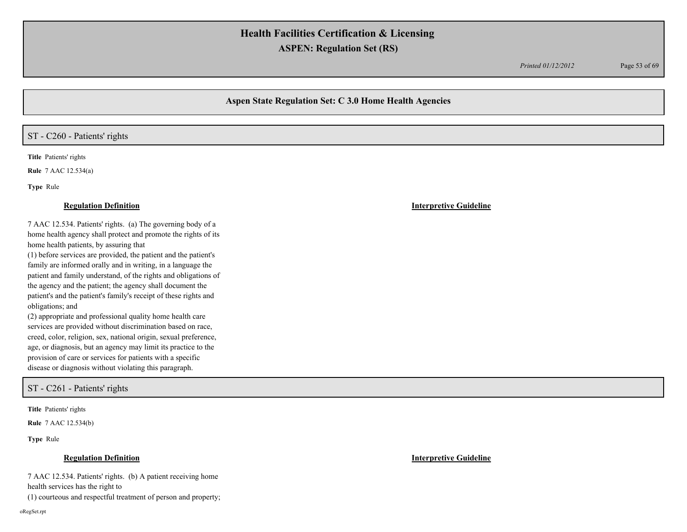*Printed 01/12/2012* Page 53 of 69

## **Aspen State Regulation Set: C 3.0 Home Health Agencies**

## ST - C260 - Patients' rights

**Title** Patients' rights

**Rule** 7 AAC 12.534(a)

**Type** Rule

7 AAC 12.534. Patients' rights. (a) The governing body of a home health agency shall protect and promote the rights of its home health patients, by assuring that

(1) before services are provided, the patient and the patient's family are informed orally and in writing, in a language the patient and family understand, of the rights and obligations of the agency and the patient; the agency shall document the patient's and the patient's family's receipt of these rights and obligations; and

(2) appropriate and professional quality home health care services are provided without discrimination based on race, creed, color, religion, sex, national origin, sexual preference, age, or diagnosis, but an agency may limit its practice to the provision of care or services for patients with a specific disease or diagnosis without violating this paragraph.

ST - C261 - Patients' rights

**Title** Patients' rights

**Rule** 7 AAC 12.534(b)

**Type** Rule

## **Regulation Definition Interpretive Guideline**

7 AAC 12.534. Patients' rights. (b) A patient receiving home health services has the right to

(1) courteous and respectful treatment of person and property;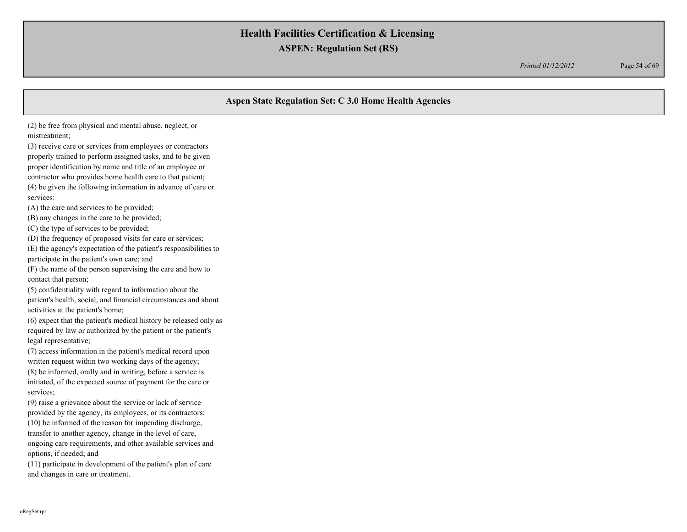*Printed 01/12/2012* Page 54 of 69

## **Aspen State Regulation Set: C 3.0 Home Health Agencies**

(2) be free from physical and mental abuse, neglect, or mistreatment;

(3) receive care or services from employees or contractors properly trained to perform assigned tasks, and to be given proper identification by name and title of an employee or contractor who provides home health care to that patient; (4) be given the following information in advance of care or services:

(A) the care and services to be provided;

(B) any changes in the care to be provided;

(C) the type of services to be provided;

(D) the frequency of proposed visits for care or services;

(E) the agency's expectation of the patient's responsibilities to participate in the patient's own care; and

(F) the name of the person supervising the care and how to contact that person;

(5) confidentiality with regard to information about the patient's health, social, and financial circumstances and about activities at the patient's home;

(6) expect that the patient's medical history be released only as required by law or authorized by the patient or the patient's legal representative;

(7) access information in the patient's medical record upon written request within two working days of the agency; (8) be informed, orally and in writing, before a service is initiated, of the expected source of payment for the care or services;

(9) raise a grievance about the service or lack of service provided by the agency, its employees, or its contractors; (10) be informed of the reason for impending discharge, transfer to another agency, change in the level of care, ongoing care requirements, and other available services and options, if needed; and

(11) participate in development of the patient's plan of care and changes in care or treatment.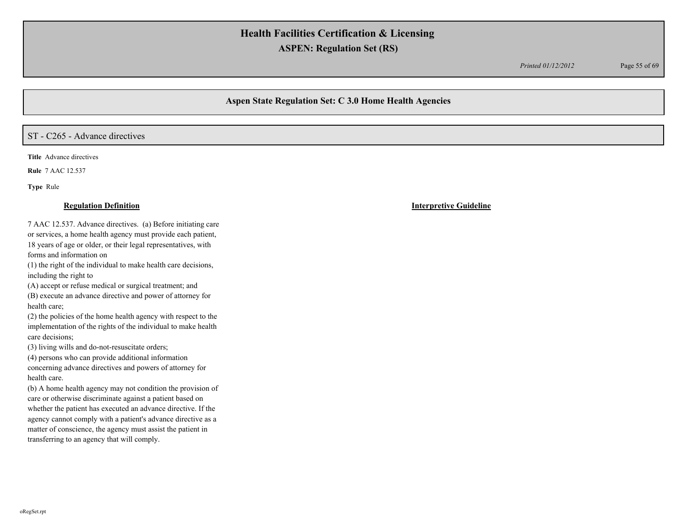*Printed 01/12/2012* Page 55 of 69

# **Aspen State Regulation Set: C 3.0 Home Health Agencies**

# ST - C265 - Advance directives

**Title** Advance directives

**Rule** 7 AAC 12.537

**Type** Rule

### **Regulation Definition Interpretive Guideline**

7 AAC 12.537. Advance directives. (a) Before initiating care or services, a home health agency must provide each patient, 18 years of age or older, or their legal representatives, with forms and information on

(1) the right of the individual to make health care decisions, including the right to

(A) accept or refuse medical or surgical treatment; and

(B) execute an advance directive and power of attorney for health care;

(2) the policies of the home health agency with respect to the implementation of the rights of the individual to make health care decisions;

(3) living wills and do-not-resuscitate orders;

(4) persons who can provide additional information concerning advance directives and powers of attorney for health care.

(b) A home health agency may not condition the provision of care or otherwise discriminate against a patient based on whether the patient has executed an advance directive. If the agency cannot comply with a patient's advance directive as a matter of conscience, the agency must assist the patient in transferring to an agency that will comply.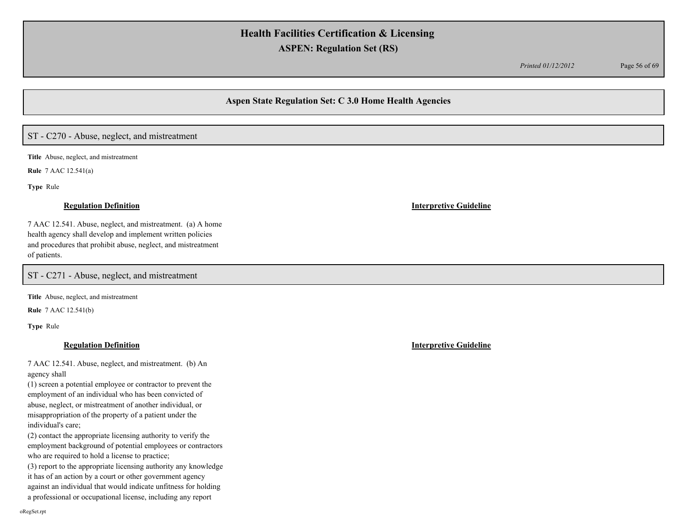*Printed 01/12/2012* Page 56 of 69

## **Aspen State Regulation Set: C 3.0 Home Health Agencies**

# ST - C270 - Abuse, neglect, and mistreatment

**Title** Abuse, neglect, and mistreatment

**Rule** 7 AAC 12.541(a)

**Type** Rule

### **Regulation Definition Interpretive Guideline**

7 AAC 12.541. Abuse, neglect, and mistreatment. (a) A home health agency shall develop and implement written policies and procedures that prohibit abuse, neglect, and mistreatment of patients.

ST - C271 - Abuse, neglect, and mistreatment

**Title** Abuse, neglect, and mistreatment

**Rule** 7 AAC 12.541(b)

**Type** Rule

## **Regulation Definition Interpretive Guideline**

7 AAC 12.541. Abuse, neglect, and mistreatment. (b) An agency shall

(1) screen a potential employee or contractor to prevent the employment of an individual who has been convicted of abuse, neglect, or mistreatment of another individual, or misappropriation of the property of a patient under the individual's care;

(2) contact the appropriate licensing authority to verify the employment background of potential employees or contractors who are required to hold a license to practice;

(3) report to the appropriate licensing authority any knowledge it has of an action by a court or other government agency against an individual that would indicate unfitness for holding a professional or occupational license, including any report

oRegSet.rpt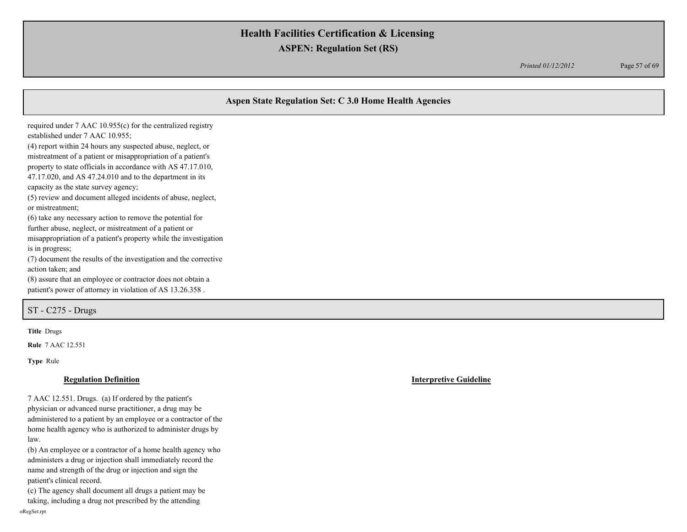*Printed 01/12/2012* Page 57 of 69

|                                                                                                                                                                                                                                                                                                                                                                                                                                                                                                                                                                                                                    | Aspen State Regulation Set: C 3.0 Home Health Agencies |
|--------------------------------------------------------------------------------------------------------------------------------------------------------------------------------------------------------------------------------------------------------------------------------------------------------------------------------------------------------------------------------------------------------------------------------------------------------------------------------------------------------------------------------------------------------------------------------------------------------------------|--------------------------------------------------------|
| required under 7 AAC 10.955(c) for the centralized registry<br>established under 7 AAC 10.955;<br>(4) report within 24 hours any suspected abuse, neglect, or<br>mistreatment of a patient or misappropriation of a patient's<br>property to state officials in accordance with AS 47.17.010,<br>$47.17.020$ , and AS $47.24.010$ and to the department in its<br>capacity as the state survey agency;<br>(5) review and document alleged incidents of abuse, neglect,<br>or mistreatment;<br>(6) take any necessary action to remove the potential for<br>further abuse, neglect, or mistreatment of a patient or |                                                        |
| misappropriation of a patient's property while the investigation<br>is in progress;<br>(7) document the results of the investigation and the corrective<br>action taken; and<br>(8) assure that an employee or contractor does not obtain a<br>patient's power of attorney in violation of AS 13.26.358.                                                                                                                                                                                                                                                                                                           |                                                        |
| $ST - C275 - Drugs$                                                                                                                                                                                                                                                                                                                                                                                                                                                                                                                                                                                                |                                                        |

**Title** Drugs

**Rule** 7 AAC 12.551

**Type** Rule

7 AAC 12.551. Drugs. (a) If ordered by the patient's physician or advanced nurse practitioner, a drug may be administered to a patient by an employee or a contractor of the home health agency who is authorized to administer drugs by law.

(b) An employee or a contractor of a home health agency who administers a drug or injection shall immediately record the name and strength of the drug or injection and sign the patient's clinical record.

(c) The agency shall document all drugs a patient may be taking, including a drug not prescribed by the attending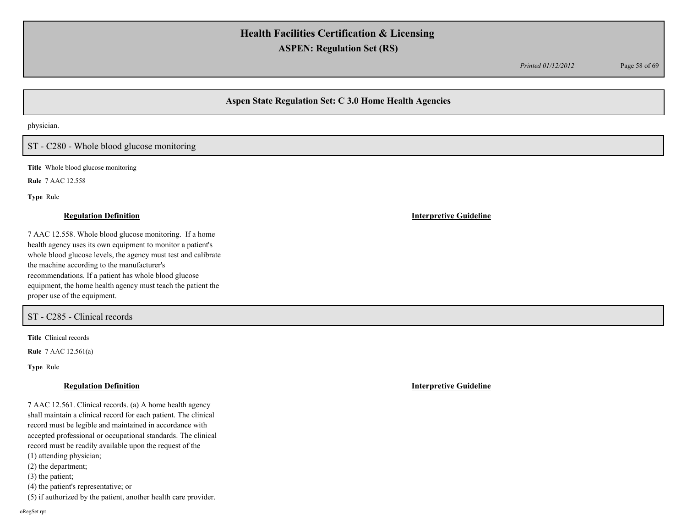*Printed 01/12/2012* Page 58 of 69

# **Aspen State Regulation Set: C 3.0 Home Health Agencies**

physician.

## ST - C280 - Whole blood glucose monitoring

**Title** Whole blood glucose monitoring

**Rule** 7 AAC 12.558

**Type** Rule

### **Regulation Definition Interpretive Guideline**

7 AAC 12.558. Whole blood glucose monitoring. If a home health agency uses its own equipment to monitor a patient's whole blood glucose levels, the agency must test and calibrate the machine according to the manufacturer's recommendations. If a patient has whole blood glucose equipment, the home health agency must teach the patient the proper use of the equipment.

### ST - C285 - Clinical records

**Title** Clinical records

**Rule** 7 AAC 12.561(a)

**Type** Rule

7 AAC 12.561. Clinical records. (a) A home health agency shall maintain a clinical record for each patient. The clinical record must be legible and maintained in accordance with accepted professional or occupational standards. The clinical record must be readily available upon the request of the (1) attending physician;

(2) the department;

(3) the patient;

(4) the patient's representative; or

(5) if authorized by the patient, another health care provider.

oRegSet.rpt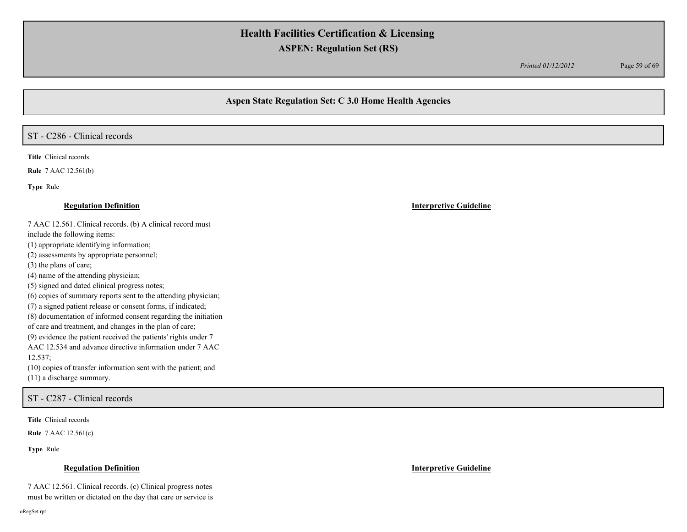*Printed 01/12/2012* Page 59 of 69

## **Aspen State Regulation Set: C 3.0 Home Health Agencies**

# ST - C286 - Clinical records

**Title** Clinical records

**Rule** 7 AAC 12.561(b)

**Type** Rule

### **Regulation Definition Interpretive Guideline**

7 AAC 12.561. Clinical records. (b) A clinical record must

include the following items:

(1) appropriate identifying information;

(2) assessments by appropriate personnel;

(3) the plans of care;

(4) name of the attending physician;

(5) signed and dated clinical progress notes;

(6) copies of summary reports sent to the attending physician;

(7) a signed patient release or consent forms, if indicated;

(8) documentation of informed consent regarding the initiation

of care and treatment, and changes in the plan of care;

(9) evidence the patient received the patients' rights under 7

AAC 12.534 and advance directive information under 7 AAC 12.537;

(10) copies of transfer information sent with the patient; and (11) a discharge summary.

ST - C287 - Clinical records

**Title** Clinical records

**Rule** 7 AAC 12.561(c)

**Type** Rule

### **Regulation Definition Interpretive Guideline**

7 AAC 12.561. Clinical records. (c) Clinical progress notes must be written or dictated on the day that care or service is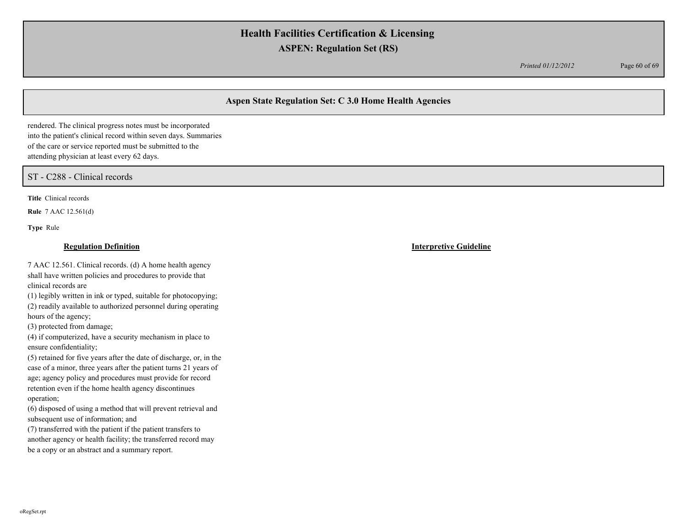*Printed 01/12/2012* Page 60 of 69

# **Aspen State Regulation Set: C 3.0 Home Health Agencies**

rendered. The clinical progress notes must be incorporated into the patient's clinical record within seven days. Summaries of the care or service reported must be submitted to the attending physician at least every 62 days.

ST - C288 - Clinical records

**Title** Clinical records

**Rule** 7 AAC 12.561(d)

**Type** Rule

### **Regulation Definition Interpretive Guideline**

7 AAC 12.561. Clinical records. (d) A home health agency shall have written policies and procedures to provide that clinical records are

(1) legibly written in ink or typed, suitable for photocopying; (2) readily available to authorized personnel during operating hours of the agency;

(3) protected from damage;

(4) if computerized, have a security mechanism in place to ensure confidentiality;

(5) retained for five years after the date of discharge, or, in the case of a minor, three years after the patient turns 21 years of age; agency policy and procedures must provide for record retention even if the home health agency discontinues operation;

(6) disposed of using a method that will prevent retrieval and subsequent use of information; and

(7) transferred with the patient if the patient transfers to another agency or health facility; the transferred record may be a copy or an abstract and a summary report.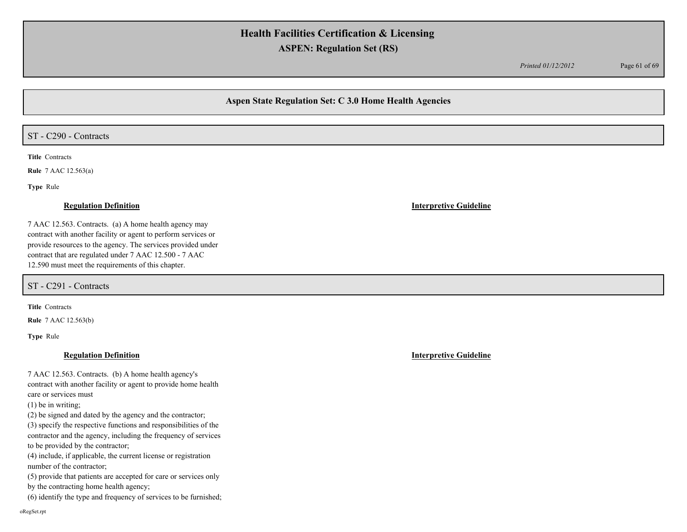*Printed 01/12/2012* Page 61 of 69

## **Aspen State Regulation Set: C 3.0 Home Health Agencies**

## ST - C290 - Contracts

**Title** Contracts

**Rule** 7 AAC 12.563(a)

**Type** Rule

### **Regulation Definition Interpretive Guideline**

7 AAC 12.563. Contracts. (a) A home health agency may contract with another facility or agent to perform services or provide resources to the agency. The services provided under contract that are regulated under 7 AAC 12.500 - 7 AAC 12.590 must meet the requirements of this chapter.

ST - C291 - Contracts

**Title** Contracts

**Rule** 7 AAC 12.563(b)

**Type** Rule

## **Regulation Definition Interpretive Guideline**

7 AAC 12.563. Contracts. (b) A home health agency's contract with another facility or agent to provide home health care or services must

(1) be in writing;

(2) be signed and dated by the agency and the contractor;

(3) specify the respective functions and responsibilities of the contractor and the agency, including the frequency of services to be provided by the contractor;

(4) include, if applicable, the current license or registration number of the contractor;

(5) provide that patients are accepted for care or services only by the contracting home health agency;

(6) identify the type and frequency of services to be furnished;

oRegSet.rpt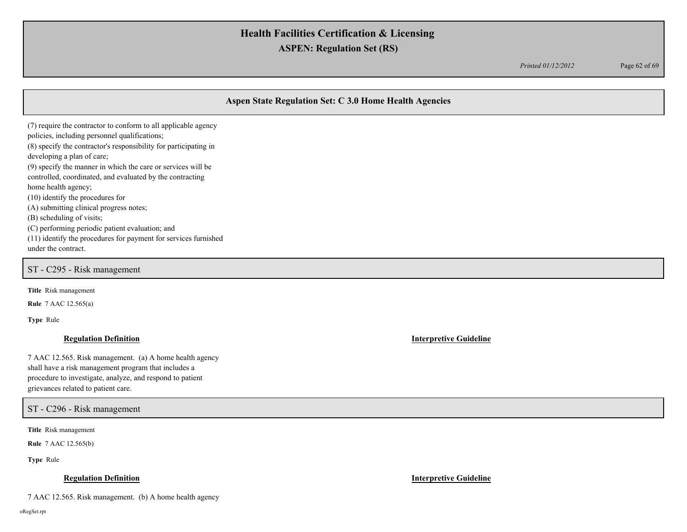*Printed 01/12/2012* Page 62 of 69

# **Aspen State Regulation Set: C 3.0 Home Health Agencies**

(7) require the contractor to conform to all applicable agency policies, including personnel qualifications; (8) specify the contractor's responsibility for participating in developing a plan of care; (9) specify the manner in which the care or services will be controlled, coordinated, and evaluated by the contracting home health agency; (10) identify the procedures for (A) submitting clinical progress notes; (B) scheduling of visits; (C) performing periodic patient evaluation; and (11) identify the procedures for payment for services furnished under the contract.

ST - C295 - Risk management

**Title** Risk management

**Rule** 7 AAC 12.565(a)

**Type** Rule

### **Regulation Definition Interpretive Guideline**

7 AAC 12.565. Risk management. (a) A home health agency shall have a risk management program that includes a procedure to investigate, analyze, and respond to patient grievances related to patient care.

ST - C296 - Risk management

**Title** Risk management

**Rule** 7 AAC 12.565(b)

**Type** Rule

### **Regulation Definition Interpretive Guideline**

7 AAC 12.565. Risk management. (b) A home health agency

oRegSet.rpt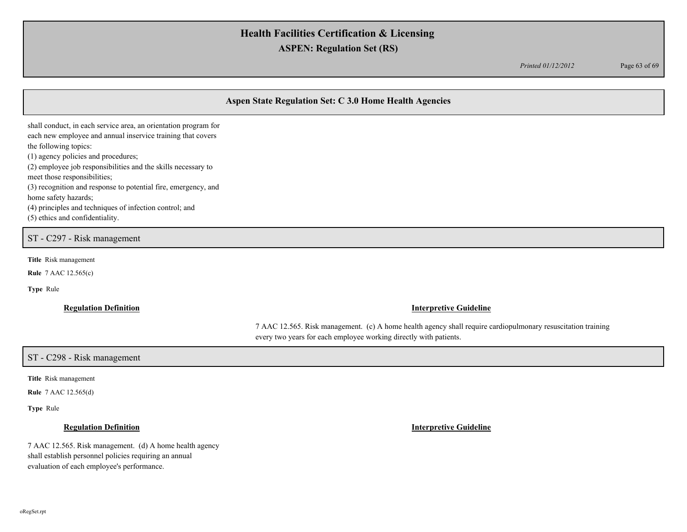*Printed 01/12/2012* Page 63 of 69

# **Aspen State Regulation Set: C 3.0 Home Health Agencies**

shall conduct, in each service area, an orientation program for each new employee and annual inservice training that covers the following topics: (1) agency policies and procedures; (2) employee job responsibilities and the skills necessary to meet those responsibilities; (3) recognition and response to potential fire, emergency, and home safety hazards; (4) principles and techniques of infection control; and (5) ethics and confidentiality.

## ST - C297 - Risk management

**Title** Risk management

**Rule** 7 AAC 12.565(c)

**Type** Rule

### **Regulation Definition Interpretive Guideline**

7 AAC 12.565. Risk management. (c) A home health agency shall require cardiopulmonary resuscitation training every two years for each employee working directly with patients.

## ST - C298 - Risk management

**Title** Risk management

**Rule** 7 AAC 12.565(d)

**Type** Rule

7 AAC 12.565. Risk management. (d) A home health agency shall establish personnel policies requiring an annual evaluation of each employee's performance.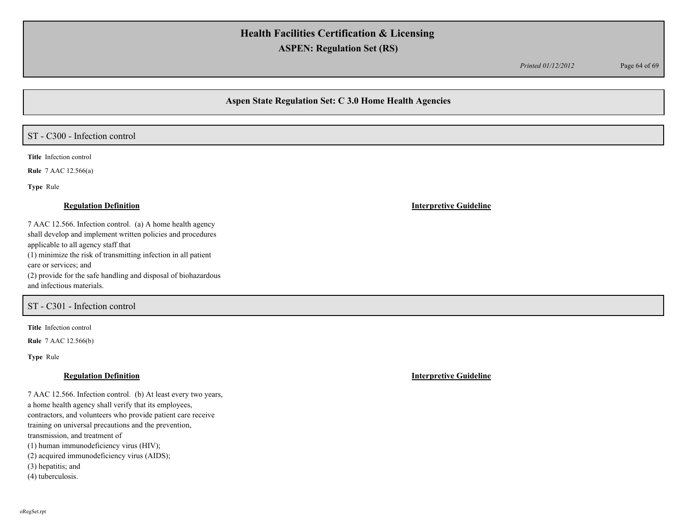*Printed 01/12/2012* Page 64 of 69

## **Aspen State Regulation Set: C 3.0 Home Health Agencies**

## ST - C300 - Infection control

**Title** Infection control

**Rule** 7 AAC 12.566(a)

**Type** Rule

7 AAC 12.566. Infection control. (a) A home health agency shall develop and implement written policies and procedures applicable to all agency staff that (1) minimize the risk of transmitting infection in all patient care or services; and (2) provide for the safe handling and disposal of biohazardous and infectious materials.

### ST - C301 - Infection control

**Title** Infection control

**Rule** 7 AAC 12.566(b)

**Type** Rule

7 AAC 12.566. Infection control. (b) At least every two years, a home health agency shall verify that its employees, contractors, and volunteers who provide patient care receive training on universal precautions and the prevention, transmission, and treatment of (1) human immunodeficiency virus (HIV); (2) acquired immunodeficiency virus (AIDS); (3) hepatitis; and (4) tuberculosis.

**Regulation Definition Interpretive Guideline**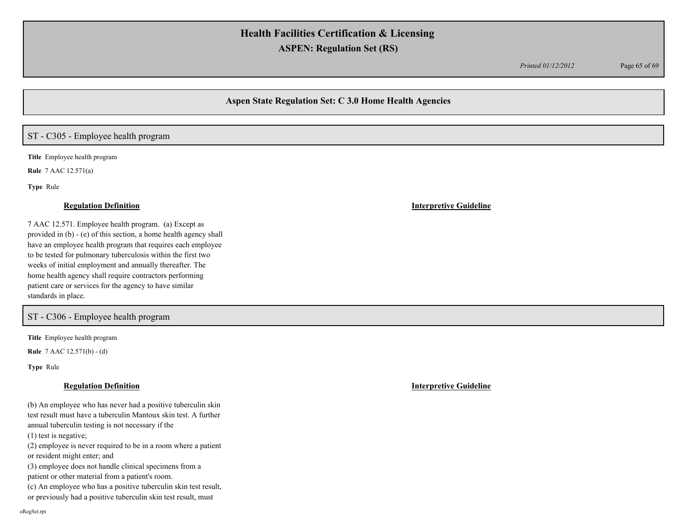*Printed 01/12/2012* Page 65 of 69

## **Aspen State Regulation Set: C 3.0 Home Health Agencies**

# ST - C305 - Employee health program

**Title** Employee health program

**Rule** 7 AAC 12.571(a)

**Type** Rule

### **Regulation Definition Interpretive Guideline**

7 AAC 12.571. Employee health program. (a) Except as provided in (b) - (e) of this section, a home health agency shall have an employee health program that requires each employee to be tested for pulmonary tuberculosis within the first two weeks of initial employment and annually thereafter. The home health agency shall require contractors performing patient care or services for the agency to have similar standards in place.

## ST - C306 - Employee health program

**Title** Employee health program

**Rule** 7 AAC 12.571(b) - (d)

**Type** Rule

(b) An employee who has never had a positive tuberculin skin test result must have a tuberculin Mantoux skin test. A further annual tuberculin testing is not necessary if the (1) test is negative;

(2) employee is never required to be in a room where a patient or resident might enter; and

(3) employee does not handle clinical specimens from a patient or other material from a patient's room.

(c) An employee who has a positive tuberculin skin test result,

or previously had a positive tuberculin skin test result, must

**Regulation Definition Interpretive Guideline**

oRegSet.rpt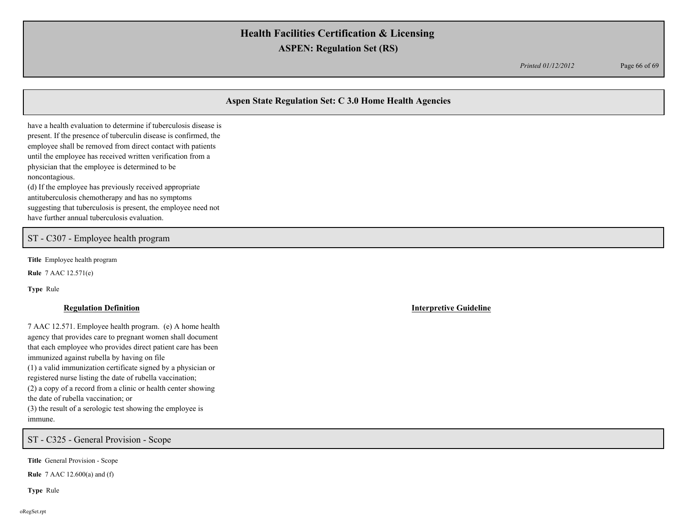*Printed 01/12/2012* Page 66 of 69

# **Aspen State Regulation Set: C 3.0 Home Health Agencies**

have a health evaluation to determine if tuberculosis disease is present. If the presence of tuberculin disease is confirmed, the employee shall be removed from direct contact with patients until the employee has received written verification from a physician that the employee is determined to be noncontagious. (d) If the employee has previously received appropriate

antituberculosis chemotherapy and has no symptoms suggesting that tuberculosis is present, the employee need not have further annual tuberculosis evaluation.

## ST - C307 - Employee health program

**Title** Employee health program

**Rule** 7 AAC 12.571(e)

**Type** Rule

7 AAC 12.571. Employee health program. (e) A home health agency that provides care to pregnant women shall document that each employee who provides direct patient care has been immunized against rubella by having on file (1) a valid immunization certificate signed by a physician or registered nurse listing the date of rubella vaccination; (2) a copy of a record from a clinic or health center showing the date of rubella vaccination; or (3) the result of a serologic test showing the employee is immune.

ST - C325 - General Provision - Scope

**Title** General Provision - Scope

**Rule** 7 AAC 12.600(a) and (f)

**Type** Rule

**Regulation Definition Interpretive Guideline**

oRegSet.rpt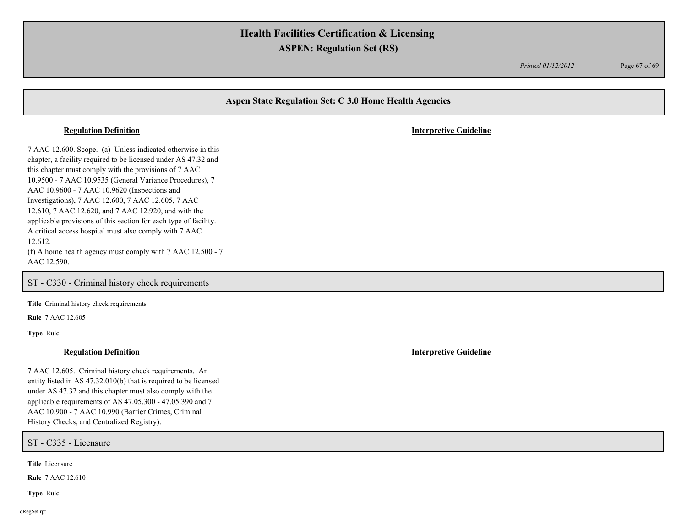*Printed 01/12/2012* Page 67 of 69

# **Aspen State Regulation Set: C 3.0 Home Health Agencies** 7 AAC 12.600. Scope. (a) Unless indicated otherwise in this chapter, a facility required to be licensed under AS 47.32 and this chapter must comply with the provisions of 7 AAC 10.9500 - 7 AAC 10.9535 (General Variance Procedures), 7 AAC 10.9600 - 7 AAC 10.9620 (Inspections and Investigations), 7 AAC 12.600, 7 AAC 12.605, 7 AAC 12.610, 7 AAC 12.620, and 7 AAC 12.920, and with the applicable provisions of this section for each type of facility. A critical access hospital must also comply with 7 AAC 12.612. (f) A home health agency must comply with 7 AAC 12.500 - 7 AAC 12.590. **Regulation Definition Interpretive Guideline** ST - C330 - Criminal history check requirements

**Title** Criminal history check requirements

**Rule** 7 AAC 12.605

**Type** Rule

### **Regulation Definition Interpretive Guideline**

7 AAC 12.605. Criminal history check requirements. An entity listed in AS 47.32.010(b) that is required to be licensed under AS 47.32 and this chapter must also comply with the applicable requirements of AS 47.05.300 - 47.05.390 and 7 AAC 10.900 - 7 AAC 10.990 (Barrier Crimes, Criminal History Checks, and Centralized Registry).

ST - C335 - Licensure

**Title** Licensure

**Rule** 7 AAC 12.610

**Type** Rule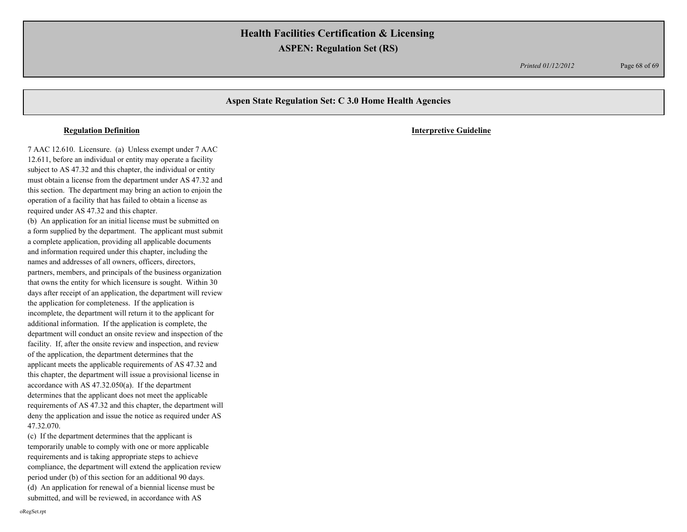*Printed 01/12/2012* Page 68 of 69

## **Aspen State Regulation Set: C 3.0 Home Health Agencies**

7 AAC 12.610. Licensure. (a) Unless exempt under 7 AAC 12.611, before an individual or entity may operate a facility subject to AS 47.32 and this chapter, the individual or entity must obtain a license from the department under AS 47.32 and this section. The department may bring an action to enjoin the operation of a facility that has failed to obtain a license as required under AS 47.32 and this chapter. (b) An application for an initial license must be submitted on a form supplied by the department. The applicant must submit a complete application, providing all applicable documents and information required under this chapter, including the names and addresses of all owners, officers, directors, partners, members, and principals of the business organization that owns the entity for which licensure is sought. Within 30 days after receipt of an application, the department will review the application for completeness. If the application is incomplete, the department will return it to the applicant for additional information. If the application is complete, the department will conduct an onsite review and inspection of the facility. If, after the onsite review and inspection, and review of the application, the department determines that the

applicant meets the applicable requirements of AS 47.32 and this chapter, the department will issue a provisional license in accordance with AS 47.32.050(a). If the department determines that the applicant does not meet the applicable requirements of AS 47.32 and this chapter, the department will deny the application and issue the notice as required under AS 47.32.070.

(c) If the department determines that the applicant is temporarily unable to comply with one or more applicable requirements and is taking appropriate steps to achieve compliance, the department will extend the application review period under (b) of this section for an additional 90 days. (d) An application for renewal of a biennial license must be submitted, and will be reviewed, in accordance with AS